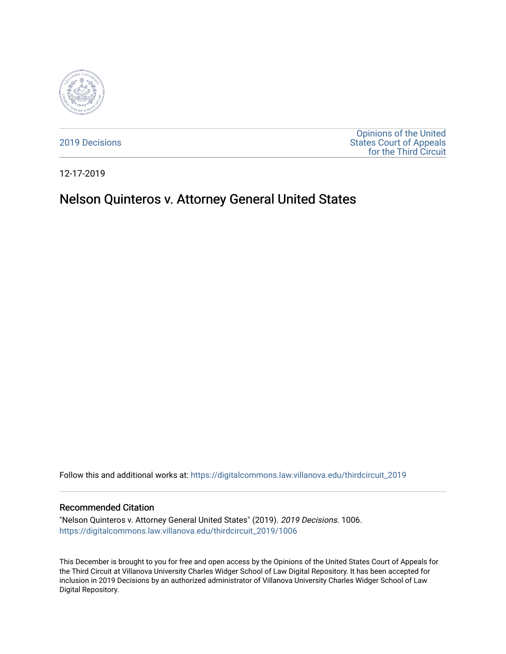

[2019 Decisions](https://digitalcommons.law.villanova.edu/thirdcircuit_2019)

[Opinions of the United](https://digitalcommons.law.villanova.edu/thirdcircuit)  [States Court of Appeals](https://digitalcommons.law.villanova.edu/thirdcircuit)  [for the Third Circuit](https://digitalcommons.law.villanova.edu/thirdcircuit) 

12-17-2019

# Nelson Quinteros v. Attorney General United States

Follow this and additional works at: [https://digitalcommons.law.villanova.edu/thirdcircuit\\_2019](https://digitalcommons.law.villanova.edu/thirdcircuit_2019?utm_source=digitalcommons.law.villanova.edu%2Fthirdcircuit_2019%2F1006&utm_medium=PDF&utm_campaign=PDFCoverPages) 

#### Recommended Citation

"Nelson Quinteros v. Attorney General United States" (2019). 2019 Decisions. 1006. [https://digitalcommons.law.villanova.edu/thirdcircuit\\_2019/1006](https://digitalcommons.law.villanova.edu/thirdcircuit_2019/1006?utm_source=digitalcommons.law.villanova.edu%2Fthirdcircuit_2019%2F1006&utm_medium=PDF&utm_campaign=PDFCoverPages) 

This December is brought to you for free and open access by the Opinions of the United States Court of Appeals for the Third Circuit at Villanova University Charles Widger School of Law Digital Repository. It has been accepted for inclusion in 2019 Decisions by an authorized administrator of Villanova University Charles Widger School of Law Digital Repository.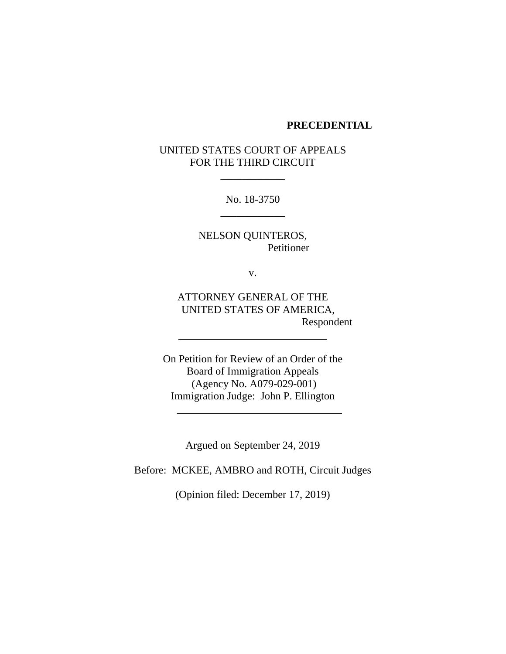#### **PRECEDENTIAL**

# UNITED STATES COURT OF APPEALS FOR THE THIRD CIRCUIT

\_\_\_\_\_\_\_\_\_\_\_\_

No. 18-3750 \_\_\_\_\_\_\_\_\_\_\_\_

NELSON QUINTEROS, Petitioner

v.

ATTORNEY GENERAL OF THE UNITED STATES OF AMERICA, Respondent

On Petition for Review of an Order of the Board of Immigration Appeals (Agency No. A079-029-001) Immigration Judge: John P. Ellington

Argued on September 24, 2019

Before: MCKEE, AMBRO and ROTH, Circuit Judges

(Opinion filed: December 17, 2019)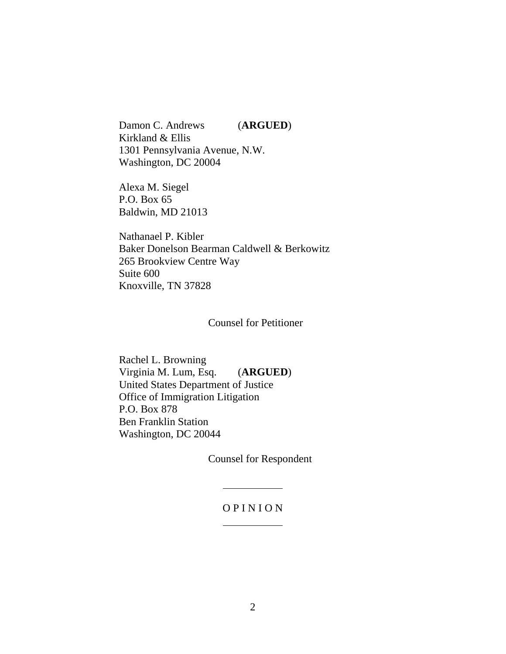Damon C. Andrews (**ARGUED**) Kirkland & Ellis 1301 Pennsylvania Avenue, N.W. Washington, DC 20004

Alexa M. Siegel P.O. Box 65 Baldwin, MD 21013

Nathanael P. Kibler Baker Donelson Bearman Caldwell & Berkowitz 265 Brookview Centre Way Suite 600 Knoxville, TN 37828

Counsel for Petitioner

Rachel L. Browning Virginia M. Lum, Esq. (**ARGUED**) United States Department of Justice Office of Immigration Litigation P.O. Box 878 Ben Franklin Station Washington, DC 20044

Counsel for Respondent

## O P I N I O N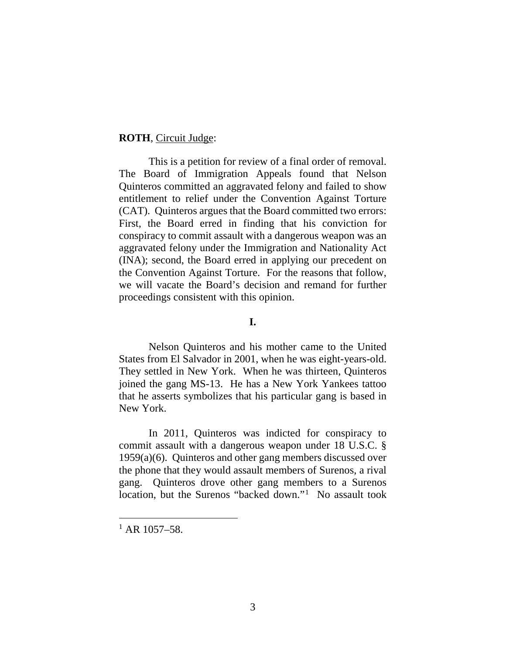#### **ROTH**, Circuit Judge:

This is a petition for review of a final order of removal. The Board of Immigration Appeals found that Nelson Quinteros committed an aggravated felony and failed to show entitlement to relief under the Convention Against Torture (CAT). Quinteros argues that the Board committed two errors: First, the Board erred in finding that his conviction for conspiracy to commit assault with a dangerous weapon was an aggravated felony under the Immigration and Nationality Act (INA); second, the Board erred in applying our precedent on the Convention Against Torture. For the reasons that follow, we will vacate the Board's decision and remand for further proceedings consistent with this opinion.

## **I.**

Nelson Quinteros and his mother came to the United States from El Salvador in 2001, when he was eight-years-old. They settled in New York. When he was thirteen, Quinteros joined the gang MS-13. He has a New York Yankees tattoo that he asserts symbolizes that his particular gang is based in New York.

In 2011, Quinteros was indicted for conspiracy to commit assault with a dangerous weapon under 18 U.S.C. § 1959(a)(6). Quinteros and other gang members discussed over the phone that they would assault members of Surenos, a rival gang. Quinteros drove other gang members to a Surenos location, but the Surenos "backed down."<sup>[1](#page-3-0)</sup> No assault took

<span id="page-3-0"></span> $1$  AR 1057-58.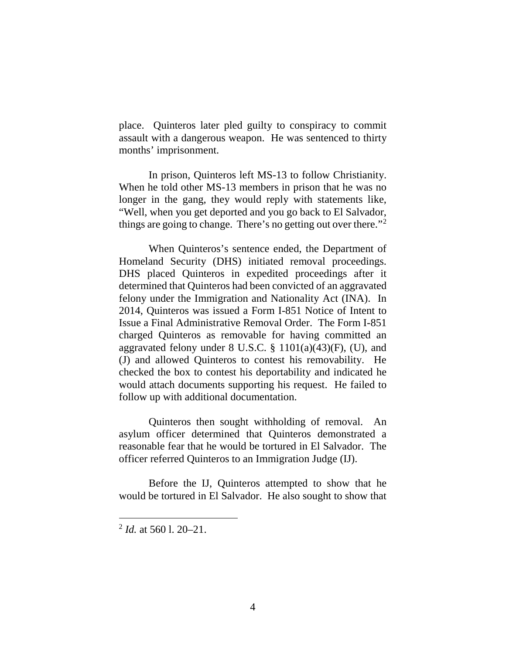place. Quinteros later pled guilty to conspiracy to commit assault with a dangerous weapon. He was sentenced to thirty months' imprisonment.

In prison, Quinteros left MS-13 to follow Christianity. When he told other MS-13 members in prison that he was no longer in the gang, they would reply with statements like, "Well, when you get deported and you go back to El Salvador, things are going to change. There's no getting out over there."<sup>[2](#page-4-0)</sup>

When Quinteros's sentence ended, the Department of Homeland Security (DHS) initiated removal proceedings. DHS placed Quinteros in expedited proceedings after it determined that Quinteros had been convicted of an aggravated felony under the Immigration and Nationality Act (INA). In 2014, Quinteros was issued a Form I-851 Notice of Intent to Issue a Final Administrative Removal Order. The Form I-851 charged Quinteros as removable for having committed an aggravated felony under  $8 \text{ U.S.C. }$   $\frac{8}{9}$  1101(a)(43)(F), (U), and (J) and allowed Quinteros to contest his removability. He checked the box to contest his deportability and indicated he would attach documents supporting his request. He failed to follow up with additional documentation.

Quinteros then sought withholding of removal. An asylum officer determined that Quinteros demonstrated a reasonable fear that he would be tortured in El Salvador. The officer referred Quinteros to an Immigration Judge (IJ).

Before the IJ, Quinteros attempted to show that he would be tortured in El Salvador. He also sought to show that

<span id="page-4-0"></span> <sup>2</sup> *Id.* at 560 l. 20–21.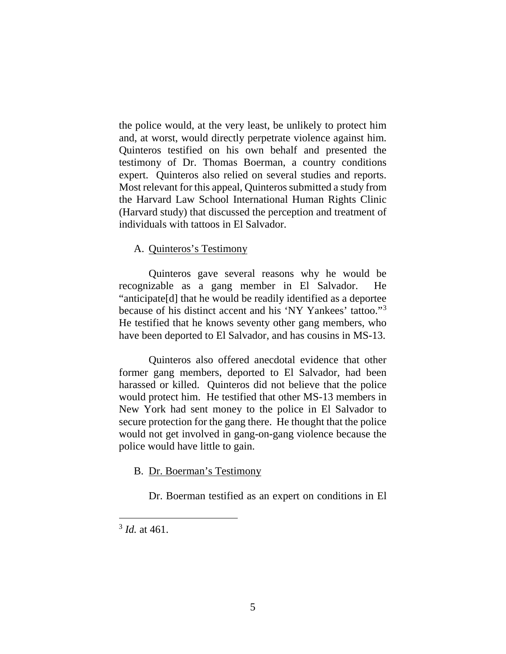the police would, at the very least, be unlikely to protect him and, at worst, would directly perpetrate violence against him. Quinteros testified on his own behalf and presented the testimony of Dr. Thomas Boerman, a country conditions expert. Quinteros also relied on several studies and reports. Most relevant for this appeal, Quinteros submitted a study from the Harvard Law School International Human Rights Clinic (Harvard study) that discussed the perception and treatment of individuals with tattoos in El Salvador.

## A. Quinteros's Testimony

Quinteros gave several reasons why he would be recognizable as a gang member in El Salvador. He "anticipate[d] that he would be readily identified as a deportee because of his distinct accent and his 'NY Yankees' tattoo."[3](#page-5-0) He testified that he knows seventy other gang members, who have been deported to El Salvador, and has cousins in MS-13.

Quinteros also offered anecdotal evidence that other former gang members, deported to El Salvador, had been harassed or killed. Quinteros did not believe that the police would protect him. He testified that other MS-13 members in New York had sent money to the police in El Salvador to secure protection for the gang there. He thought that the police would not get involved in gang-on-gang violence because the police would have little to gain.

## B. Dr. Boerman's Testimony

Dr. Boerman testified as an expert on conditions in El

<span id="page-5-0"></span> <sup>3</sup> *Id.* at 461.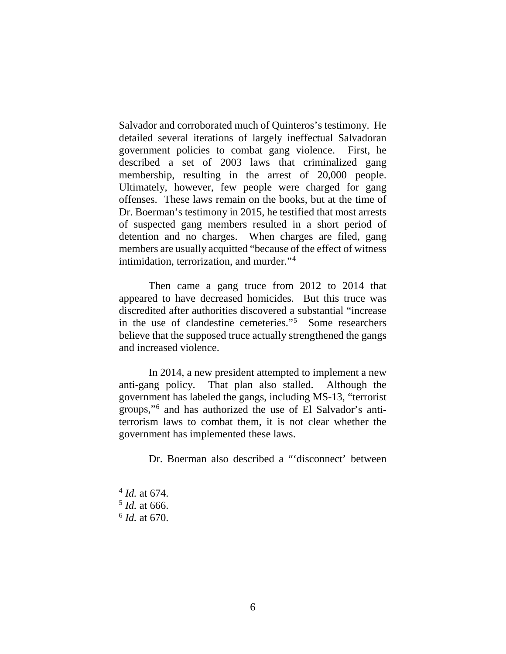Salvador and corroborated much of Quinteros's testimony. He detailed several iterations of largely ineffectual Salvadoran government policies to combat gang violence. First, he described a set of 2003 laws that criminalized gang membership, resulting in the arrest of 20,000 people. Ultimately, however, few people were charged for gang offenses. These laws remain on the books, but at the time of Dr. Boerman's testimony in 2015, he testified that most arrests of suspected gang members resulted in a short period of detention and no charges. When charges are filed, gang members are usually acquitted "because of the effect of witness intimidation, terrorization, and murder."[4](#page-6-0)

Then came a gang truce from 2012 to 2014 that appeared to have decreased homicides. But this truce was discredited after authorities discovered a substantial "increase in the use of clandestine cemeteries."[5](#page-6-1) Some researchers believe that the supposed truce actually strengthened the gangs and increased violence.

In 2014, a new president attempted to implement a new anti-gang policy. That plan also stalled. Although the government has labeled the gangs, including MS-13, "terrorist groups,"[6](#page-6-2) and has authorized the use of El Salvador's antiterrorism laws to combat them, it is not clear whether the government has implemented these laws.

Dr. Boerman also described a "'disconnect' between

<span id="page-6-0"></span> <sup>4</sup> *Id.* at 674.

<span id="page-6-1"></span><sup>5</sup> *Id.* at 666.

<span id="page-6-2"></span><sup>6</sup> *Id.* at 670.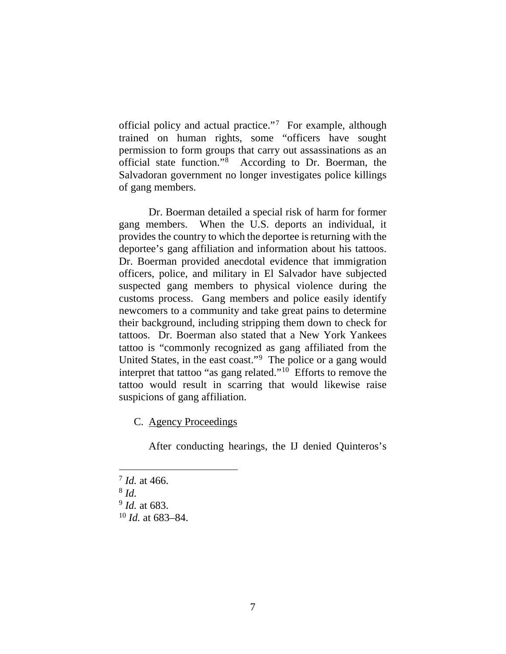official policy and actual practice."<sup>[7](#page-7-0)</sup> For example, although trained on human rights, some "officers have sought permission to form groups that carry out assassinations as an official state function."[8](#page-7-1) According to Dr. Boerman, the Salvadoran government no longer investigates police killings of gang members.

Dr. Boerman detailed a special risk of harm for former gang members. When the U.S. deports an individual, it provides the country to which the deportee is returning with the deportee's gang affiliation and information about his tattoos. Dr. Boerman provided anecdotal evidence that immigration officers, police, and military in El Salvador have subjected suspected gang members to physical violence during the customs process. Gang members and police easily identify newcomers to a community and take great pains to determine their background, including stripping them down to check for tattoos. Dr. Boerman also stated that a New York Yankees tattoo is "commonly recognized as gang affiliated from the United States, in the east coast."[9](#page-7-2) The police or a gang would interpret that tattoo "as gang related."[10](#page-7-3) Efforts to remove the tattoo would result in scarring that would likewise raise suspicions of gang affiliation.

C. Agency Proceedings

After conducting hearings, the IJ denied Quinteros's

<span id="page-7-1"></span><sup>8</sup> *Id.*

<span id="page-7-0"></span> <sup>7</sup> *Id.* at 466.

<span id="page-7-3"></span><span id="page-7-2"></span><sup>9</sup> *Id.* at 683.

<sup>10</sup> *Id.* at 683–84.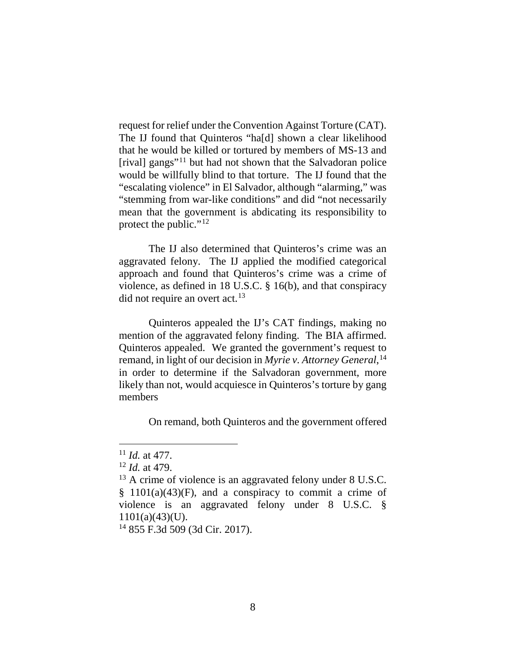request for relief under the Convention Against Torture (CAT). The IJ found that Quinteros "ha[d] shown a clear likelihood that he would be killed or tortured by members of MS-13 and [rival] gangs"[11](#page-8-0) but had not shown that the Salvadoran police would be willfully blind to that torture. The IJ found that the "escalating violence" in El Salvador, although "alarming," was "stemming from war-like conditions" and did "not necessarily mean that the government is abdicating its responsibility to protect the public."<sup>[12](#page-8-1)</sup>

The IJ also determined that Quinteros's crime was an aggravated felony. The IJ applied the modified categorical approach and found that Quinteros's crime was a crime of violence, as defined in 18 U.S.C. § 16(b), and that conspiracy did not require an overt act.<sup>13</sup>

Quinteros appealed the IJ's CAT findings, making no mention of the aggravated felony finding. The BIA affirmed. Quinteros appealed. We granted the government's request to remand, in light of our decision in *Myrie v. Attorney General*, [14](#page-8-3) in order to determine if the Salvadoran government, more likely than not, would acquiesce in Quinteros's torture by gang members

On remand, both Quinteros and the government offered

<span id="page-8-3"></span><sup>14</sup> 855 F.3d 509 (3d Cir. 2017).

<span id="page-8-0"></span> <sup>11</sup> *Id.* at 477.

<sup>12</sup> *Id.* at 479.

<span id="page-8-2"></span><span id="page-8-1"></span> $^{13}$  A crime of violence is an aggravated felony under 8 U.S.C.  $§$  1101(a)(43)(F), and a conspiracy to commit a crime of violence is an aggravated felony under 8 U.S.C. § 1101(a)(43)(U).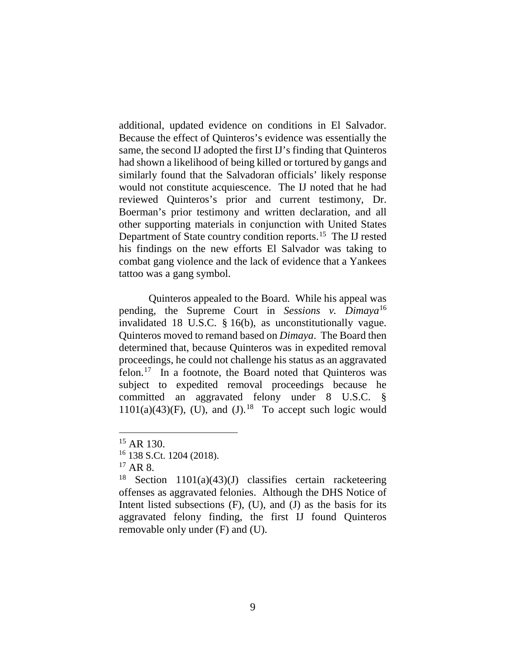additional, updated evidence on conditions in El Salvador. Because the effect of Quinteros's evidence was essentially the same, the second IJ adopted the first IJ's finding that Quinteros had shown a likelihood of being killed or tortured by gangs and similarly found that the Salvadoran officials' likely response would not constitute acquiescence. The IJ noted that he had reviewed Quinteros's prior and current testimony, Dr. Boerman's prior testimony and written declaration, and all other supporting materials in conjunction with United States Department of State country condition reports.<sup>[15](#page-9-0)</sup> The IJ rested his findings on the new efforts El Salvador was taking to combat gang violence and the lack of evidence that a Yankees tattoo was a gang symbol.

Quinteros appealed to the Board. While his appeal was pending, the Supreme Court in *Sessions v. Dimaya*[16](#page-9-1) invalidated 18 U.S.C. § 16(b), as unconstitutionally vague. Quinteros moved to remand based on *Dimaya*. The Board then determined that, because Quinteros was in expedited removal proceedings, he could not challenge his status as an aggravated felon. [17](#page-9-2) In a footnote, the Board noted that Quinteros was subject to expedited removal proceedings because he committed an aggravated felony under 8 U.S.C. §  $1101(a)(43)(F)$ , (U), and (J).<sup>18</sup> To accept such logic would

 $17$  AR 8.

<span id="page-9-0"></span> <sup>15</sup> AR 130.

<span id="page-9-1"></span><sup>16</sup> 138 S.Ct. 1204 (2018).

<span id="page-9-3"></span><span id="page-9-2"></span><sup>&</sup>lt;sup>18</sup> Section 1101(a)(43)(J) classifies certain racketeering offenses as aggravated felonies. Although the DHS Notice of Intent listed subsections (F), (U), and (J) as the basis for its aggravated felony finding, the first IJ found Quinteros removable only under (F) and (U).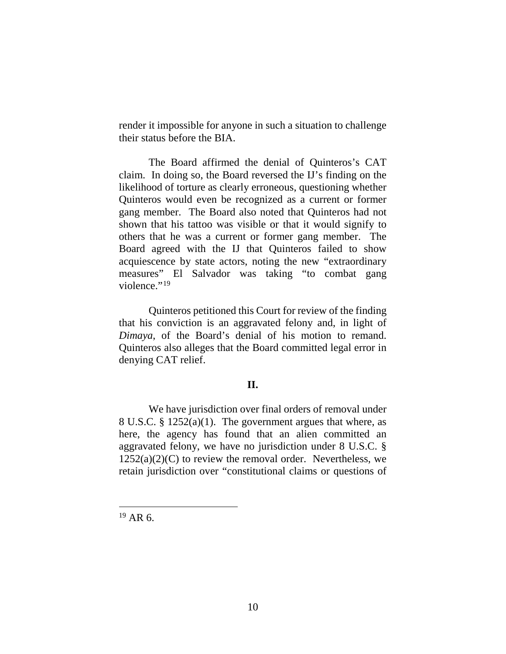render it impossible for anyone in such a situation to challenge their status before the BIA.

The Board affirmed the denial of Quinteros's CAT claim. In doing so, the Board reversed the IJ's finding on the likelihood of torture as clearly erroneous, questioning whether Quinteros would even be recognized as a current or former gang member. The Board also noted that Quinteros had not shown that his tattoo was visible or that it would signify to others that he was a current or former gang member. The Board agreed with the IJ that Quinteros failed to show acquiescence by state actors, noting the new "extraordinary measures" El Salvador was taking "to combat gang violence."<sup>[19](#page-10-0)</sup>

Quinteros petitioned this Court for review of the finding that his conviction is an aggravated felony and, in light of *Dimaya*, of the Board's denial of his motion to remand. Quinteros also alleges that the Board committed legal error in denying CAT relief.

## **II.**

We have jurisdiction over final orders of removal under 8 U.S.C. § 1252(a)(1). The government argues that where, as here, the agency has found that an alien committed an aggravated felony, we have no jurisdiction under 8 U.S.C. §  $1252(a)(2)(C)$  to review the removal order. Nevertheless, we retain jurisdiction over "constitutional claims or questions of

<span id="page-10-0"></span> $19$  AR 6.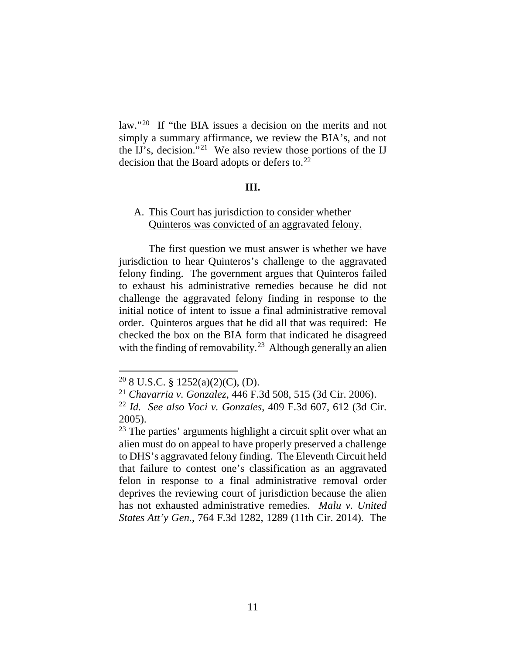law."<sup>20</sup> If "the BIA issues a decision on the merits and not simply a summary affirmance, we review the BIA's, and not the IJ's, decision."[21](#page-11-1) We also review those portions of the IJ decision that the Board adopts or defers to. $^{22}$  $^{22}$  $^{22}$ 

#### **III.**

## A. This Court has jurisdiction to consider whether Quinteros was convicted of an aggravated felony.

The first question we must answer is whether we have jurisdiction to hear Quinteros's challenge to the aggravated felony finding. The government argues that Quinteros failed to exhaust his administrative remedies because he did not challenge the aggravated felony finding in response to the initial notice of intent to issue a final administrative removal order. Quinteros argues that he did all that was required: He checked the box on the BIA form that indicated he disagreed with the finding of removability.<sup>23</sup> Although generally an alien

<span id="page-11-0"></span> $20$  8 U.S.C. § 1252(a)(2)(C), (D).

<span id="page-11-1"></span><sup>21</sup> *Chavarria v. Gonzalez*, 446 F.3d 508, 515 (3d Cir. 2006).

<span id="page-11-2"></span><sup>22</sup> *Id. See also Voci v. Gonzales*, 409 F.3d 607, 612 (3d Cir. 2005).

<span id="page-11-3"></span><sup>23</sup> The parties' arguments highlight a circuit split over what an alien must do on appeal to have properly preserved a challenge to DHS's aggravated felony finding. The Eleventh Circuit held that failure to contest one's classification as an aggravated felon in response to a final administrative removal order deprives the reviewing court of jurisdiction because the alien has not exhausted administrative remedies. *Malu v. United States Att'y Gen.*, 764 F.3d 1282, 1289 (11th Cir. 2014). The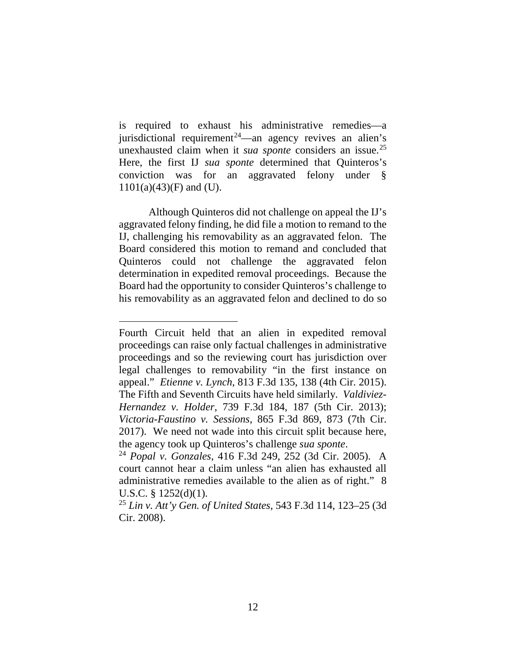is required to exhaust his administrative remedies—a jurisdictional requirement<sup>24</sup>—an agency revives an alien's unexhausted claim when it *sua sponte* considers an issue. [25](#page-12-1) Here, the first IJ *sua sponte* determined that Quinteros's conviction was for an aggravated felony under § 1101(a)(43)(F) and (U).

Although Quinteros did not challenge on appeal the IJ's aggravated felony finding, he did file a motion to remand to the IJ, challenging his removability as an aggravated felon. The Board considered this motion to remand and concluded that Quinteros could not challenge the aggravated felon determination in expedited removal proceedings. Because the Board had the opportunity to consider Quinteros's challenge to his removability as an aggravated felon and declined to do so

Fourth Circuit held that an alien in expedited removal proceedings can raise only factual challenges in administrative proceedings and so the reviewing court has jurisdiction over legal challenges to removability "in the first instance on appeal." *Etienne v. Lynch*, 813 F.3d 135, 138 (4th Cir. 2015). The Fifth and Seventh Circuits have held similarly. *Valdiviez-Hernandez v. Holder*, 739 F.3d 184, 187 (5th Cir. 2013); *Victoria-Faustino v. Sessions*, 865 F.3d 869, 873 (7th Cir. 2017). We need not wade into this circuit split because here, the agency took up Quinteros's challenge *sua sponte*. 24 *Popal v. Gonzales*, 416 F.3d 249, 252 (3d Cir. 2005). A

<span id="page-12-0"></span>court cannot hear a claim unless "an alien has exhausted all administrative remedies available to the alien as of right." 8 U.S.C. § 1252(d)(1).

<span id="page-12-1"></span><sup>25</sup> *Lin v. Att'y Gen. of United States*, 543 F.3d 114, 123–25 (3d Cir. 2008).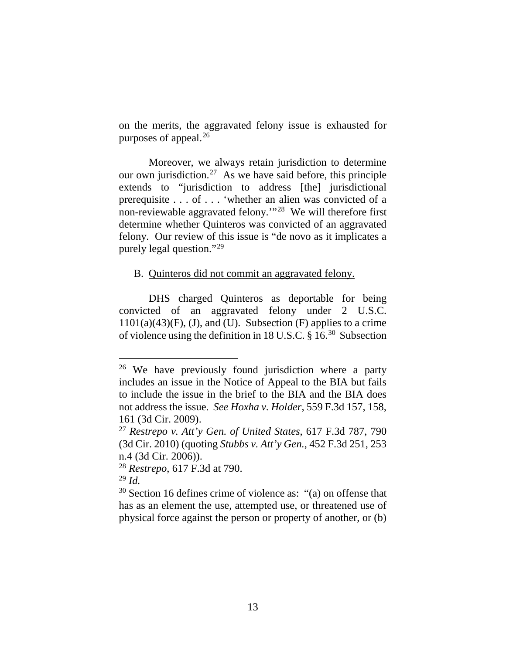on the merits, the aggravated felony issue is exhausted for purposes of appeal. [26](#page-13-0)

Moreover, we always retain jurisdiction to determine our own jurisdiction.<sup>27</sup> As we have said before, this principle extends to "jurisdiction to address [the] jurisdictional prerequisite . . . of . . . 'whether an alien was convicted of a non-reviewable aggravated felony.'"[28](#page-13-2) We will therefore first determine whether Quinteros was convicted of an aggravated felony. Our review of this issue is "de novo as it implicates a purely legal question."[29](#page-13-3)

## B. Quinteros did not commit an aggravated felony.

DHS charged Quinteros as deportable for being convicted of an aggravated felony under 2 U.S.C.  $1101(a)(43)(F)$ , (J), and (U). Subsection (F) applies to a crime of violence using the definition in 18 U.S.C. § 16.[30](#page-13-4) Subsection

<span id="page-13-2"></span><sup>28</sup> *Restrepo*, 617 F.3d at 790.

<span id="page-13-3"></span><sup>29</sup> *Id.*

<span id="page-13-0"></span><sup>&</sup>lt;sup>26</sup> We have previously found jurisdiction where a party includes an issue in the Notice of Appeal to the BIA but fails to include the issue in the brief to the BIA and the BIA does not address the issue. *See Hoxha v. Holder*, 559 F.3d 157, 158, 161 (3d Cir. 2009).

<span id="page-13-1"></span><sup>27</sup> *Restrepo v. Att'y Gen. of United States*, 617 F.3d 787, 790 (3d Cir. 2010) (quoting *Stubbs v. Att'y Gen.*, 452 F.3d 251, 253 n.4 (3d Cir. 2006)).

<span id="page-13-4"></span><sup>30</sup> Section 16 defines crime of violence as: "(a) on offense that has as an element the use, attempted use, or threatened use of physical force against the person or property of another, or (b)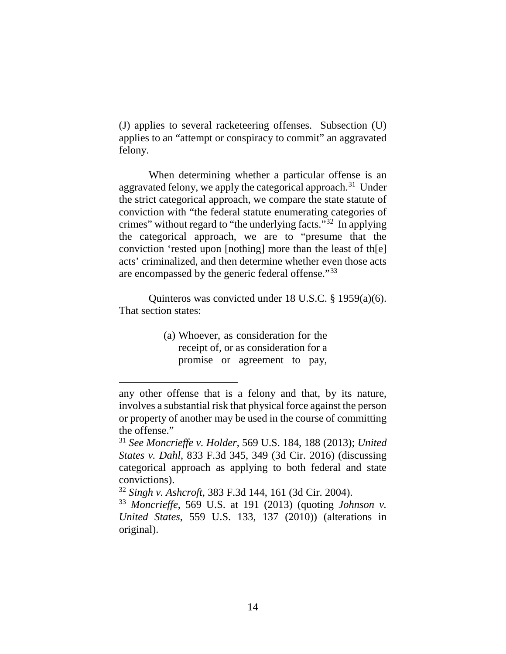(J) applies to several racketeering offenses. Subsection (U) applies to an "attempt or conspiracy to commit" an aggravated felony.

When determining whether a particular offense is an aggravated felony, we apply the categorical approach.<sup>[31](#page-14-0)</sup> Under the strict categorical approach, we compare the state statute of conviction with "the federal statute enumerating categories of crimes" without regard to "the underlying facts."[32](#page-14-1) In applying the categorical approach, we are to "presume that the conviction 'rested upon [nothing] more than the least of th[e] acts' criminalized, and then determine whether even those acts are encompassed by the generic federal offense."[33](#page-14-2)

Quinteros was convicted under 18 U.S.C. § 1959(a)(6). That section states:

> (a) Whoever, as consideration for the receipt of, or as consideration for a promise or agreement to pay,

any other offense that is a felony and that, by its nature, involves a substantial risk that physical force against the person or property of another may be used in the course of committing the offense."

<span id="page-14-0"></span><sup>31</sup> *See Moncrieffe v. Holder*, 569 U.S. 184, 188 (2013); *United States v. Dahl*, 833 F.3d 345, 349 (3d Cir. 2016) (discussing categorical approach as applying to both federal and state convictions).

<span id="page-14-1"></span><sup>32</sup> *Singh v. Ashcroft*, 383 F.3d 144, 161 (3d Cir. 2004).

<span id="page-14-2"></span><sup>33</sup> *Moncrieffe*, 569 U.S. at 191 (2013) (quoting *Johnson v. United States*, 559 U.S. 133, 137 (2010)) (alterations in original).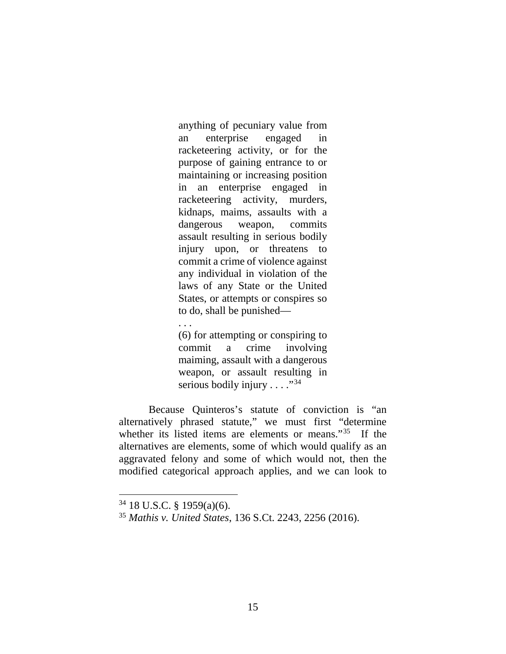anything of pecuniary value from an enterprise engaged in racketeering activity, or for the purpose of gaining entrance to or maintaining or increasing position in an enterprise engaged in racketeering activity, murders, kidnaps, maims, assaults with a dangerous weapon, commits assault resulting in serious bodily injury upon, or threatens to commit a crime of violence against any individual in violation of the laws of any State or the United States, or attempts or conspires so to do, shall be punished—

(6) for attempting or conspiring to commit a crime involving maiming, assault with a dangerous weapon, or assault resulting in serious bodily injury  $\dots$  ."<sup>34</sup>

Because Quinteros's statute of conviction is "an alternatively phrased statute," we must first "determine whether its listed items are elements or means."<sup>[35](#page-15-1)</sup> If the alternatives are elements, some of which would qualify as an aggravated felony and some of which would not, then the modified categorical approach applies, and we can look to

. . .

<span id="page-15-0"></span> $34$  18 U.S.C. § 1959(a)(6).

<span id="page-15-1"></span><sup>35</sup> *Mathis v. United States*, 136 S.Ct. 2243, 2256 (2016).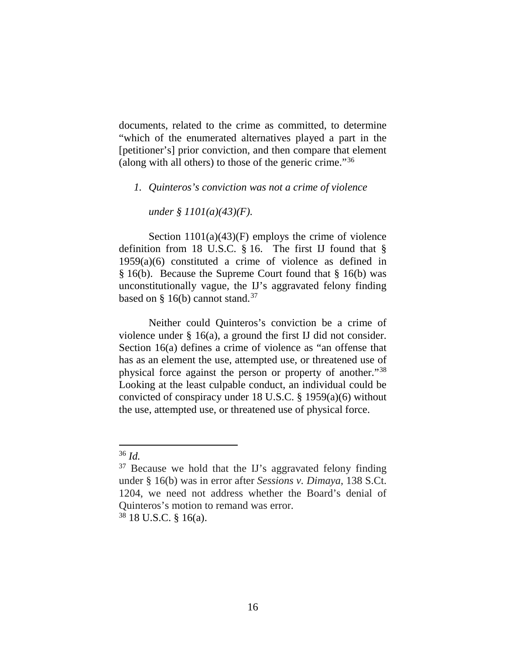documents, related to the crime as committed, to determine "which of the enumerated alternatives played a part in the [petitioner's] prior conviction, and then compare that element (along with all others) to those of the generic crime." $36$ 

## *1. Quinteros's conviction was not a crime of violence*

*under § 1101(a)(43)(F).*

Section  $1101(a)(43)(F)$  employs the crime of violence definition from 18 U.S.C. § 16. The first IJ found that § 1959(a)(6) constituted a crime of violence as defined in § 16(b). Because the Supreme Court found that § 16(b) was unconstitutionally vague, the IJ's aggravated felony finding based on  $\S$  16(b) cannot stand.<sup>[37](#page-16-1)</sup>

Neither could Quinteros's conviction be a crime of violence under § 16(a), a ground the first IJ did not consider. Section 16(a) defines a crime of violence as "an offense that has as an element the use, attempted use, or threatened use of physical force against the person or property of another."[38](#page-16-2) Looking at the least culpable conduct, an individual could be convicted of conspiracy under 18 U.S.C. § 1959(a)(6) without the use, attempted use, or threatened use of physical force.

<span id="page-16-0"></span> <sup>36</sup> *Id.*

<span id="page-16-1"></span><sup>37</sup> Because we hold that the IJ's aggravated felony finding under § 16(b) was in error after *Sessions v. Dimaya*, 138 S.Ct. 1204, we need not address whether the Board's denial of Quinteros's motion to remand was error.

<span id="page-16-2"></span> $38$  18 U.S.C. § 16(a).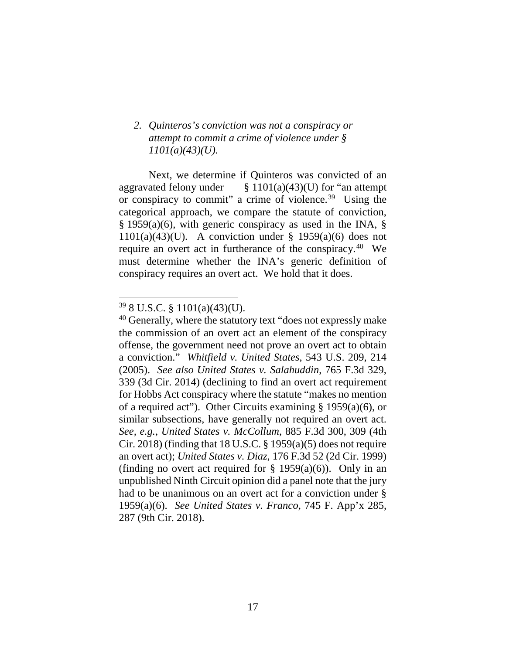## *2. Quinteros's conviction was not a conspiracy or attempt to commit a crime of violence under § 1101(a)(43)(U).*

Next, we determine if Quinteros was convicted of an aggravated felony under  $\S 1101(a)(43)(U)$  for "an attempt or conspiracy to commit" a crime of violence.[39](#page-17-0) Using the categorical approach, we compare the statute of conviction, § 1959(a)(6), with generic conspiracy as used in the INA, §  $1101(a)(43)(U)$ . A conviction under § 1959(a)(6) does not require an overt act in furtherance of the conspiracy.[40](#page-17-1) We must determine whether the INA's generic definition of conspiracy requires an overt act. We hold that it does.

<span id="page-17-0"></span> <sup>39</sup> 8 U.S.C. § 1101(a)(43)(U).

<span id="page-17-1"></span><sup>&</sup>lt;sup>40</sup> Generally, where the statutory text "does not expressly make the commission of an overt act an element of the conspiracy offense, the government need not prove an overt act to obtain a conviction." *Whitfield v. United States*, 543 U.S. 209, 214 (2005). *See also United States v. Salahuddin*, 765 F.3d 329, 339 (3d Cir. 2014) (declining to find an overt act requirement for Hobbs Act conspiracy where the statute "makes no mention of a required act"). Other Circuits examining § 1959(a)(6), or similar subsections, have generally not required an overt act. *See, e.g.*, *United States v. McCollum*, 885 F.3d 300, 309 (4th Cir. 2018) (finding that 18 U.S.C.  $\S$  1959(a)(5) does not require an overt act); *United States v. Diaz*, 176 F.3d 52 (2d Cir. 1999) (finding no overt act required for  $\S$  1959(a)(6)). Only in an unpublished Ninth Circuit opinion did a panel note that the jury had to be unanimous on an overt act for a conviction under § 1959(a)(6). *See United States v. Franco*, 745 F. App'x 285, 287 (9th Cir. 2018).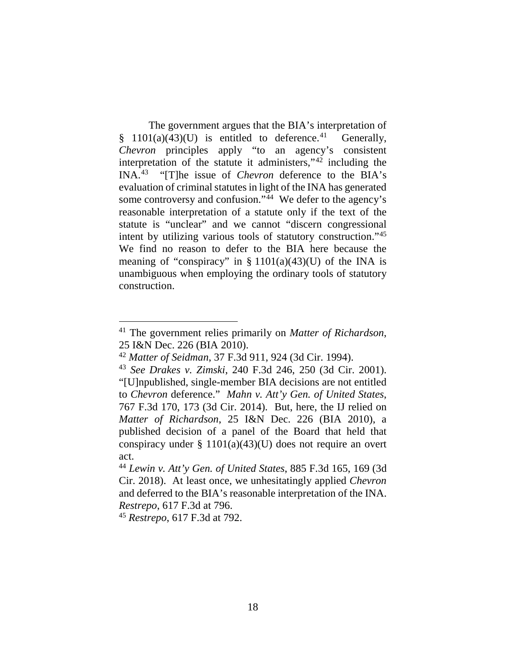The government argues that the BIA's interpretation of § 1101(a)(43)(U) is entitled to deference.<sup>41</sup> Generally, *Chevron* principles apply "to an agency's consistent interpretation of the statute it administers,"[42](#page-18-1) including the INA.[43](#page-18-2) "[T]he issue of *Chevron* deference to the BIA's evaluation of criminal statutes in light of the INA has generated some controversy and confusion."<sup>[44](#page-18-3)</sup> We defer to the agency's reasonable interpretation of a statute only if the text of the statute is "unclear" and we cannot "discern congressional intent by utilizing various tools of statutory construction."[45](#page-18-4) We find no reason to defer to the BIA here because the meaning of "conspiracy" in  $\S 1101(a)(43)(U)$  of the INA is unambiguous when employing the ordinary tools of statutory construction.

<span id="page-18-4"></span><sup>45</sup> *Restrepo*, 617 F.3d at 792.

<span id="page-18-0"></span> <sup>41</sup> The government relies primarily on *Matter of Richardson*, 25 I&N Dec. 226 (BIA 2010). 42 *Matter of Seidman*, 37 F.3d 911, 924 (3d Cir. 1994).

<span id="page-18-2"></span><span id="page-18-1"></span><sup>43</sup> *See Drakes v. Zimski*, 240 F.3d 246, 250 (3d Cir. 2001). "[U]npublished, single-member BIA decisions are not entitled to *Chevron* deference." *Mahn v. Att'y Gen. of United States*, 767 F.3d 170, 173 (3d Cir. 2014). But, here, the IJ relied on *Matter of Richardson*, 25 I&N Dec. 226 (BIA 2010), a published decision of a panel of the Board that held that conspiracy under  $\S 1101(a)(43)(U)$  does not require an overt

<span id="page-18-3"></span>act. 44 *Lewin v. Att'y Gen. of United States*, 885 F.3d 165, 169 (3d Cir. 2018). At least once, we unhesitatingly applied *Chevron*  and deferred to the BIA's reasonable interpretation of the INA. *Restrepo*, 617 F.3d at 796.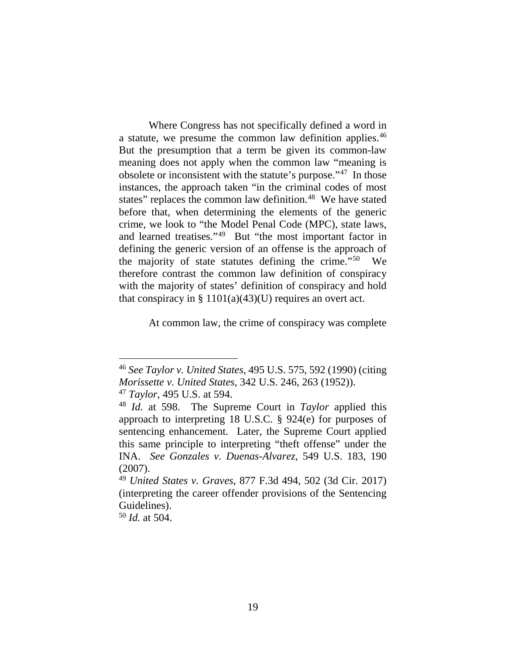Where Congress has not specifically defined a word in a statute, we presume the common law definition applies.<sup>[46](#page-19-0)</sup> But the presumption that a term be given its common-law meaning does not apply when the common law "meaning is obsolete or inconsistent with the statute's purpose."[47](#page-19-1) In those instances, the approach taken "in the criminal codes of most states" replaces the common law definition.<sup>[48](#page-19-2)</sup> We have stated before that, when determining the elements of the generic crime, we look to "the Model Penal Code (MPC), state laws, and learned treatises."[49](#page-19-3) But "the most important factor in defining the generic version of an offense is the approach of the majority of state statutes defining the crime."[50](#page-19-4) We therefore contrast the common law definition of conspiracy with the majority of states' definition of conspiracy and hold that conspiracy in  $\S 1101(a)(43)(U)$  requires an overt act.

At common law, the crime of conspiracy was complete

<span id="page-19-1"></span><sup>47</sup> *Taylor*, 495 U.S. at 594.

<span id="page-19-0"></span> <sup>46</sup> *See Taylor v. United States*, 495 U.S. 575, 592 (1990) (citing *Morissette v. United States*, 342 U.S. 246, 263 (1952)).

<span id="page-19-2"></span><sup>48</sup> *Id.* at 598. The Supreme Court in *Taylor* applied this approach to interpreting 18 U.S.C. § 924(e) for purposes of sentencing enhancement. Later, the Supreme Court applied this same principle to interpreting "theft offense" under the INA. *See Gonzales v. Duenas-Alvarez*, 549 U.S. 183, 190 (2007).

<span id="page-19-3"></span><sup>49</sup> *United States v. Graves*, 877 F.3d 494, 502 (3d Cir. 2017) (interpreting the career offender provisions of the Sentencing Guidelines).

<span id="page-19-4"></span><sup>50</sup> *Id.* at 504.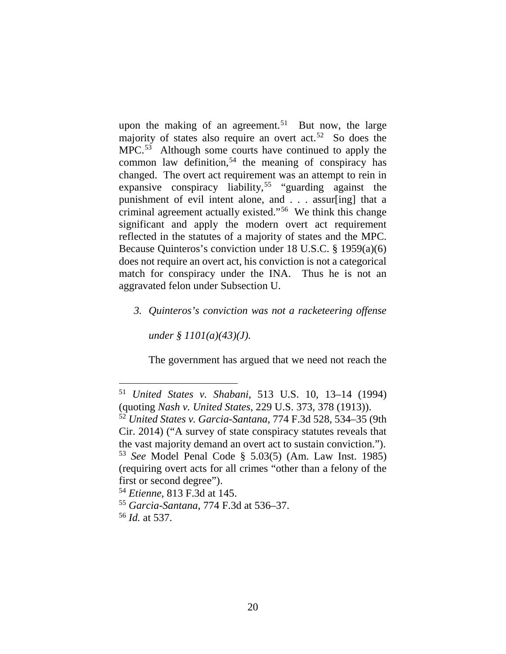upon the making of an agreement.<sup>[51](#page-20-0)</sup> But now, the large majority of states also require an overt act.<sup>52</sup> So does the MPC.<sup>53</sup> Although some courts have continued to apply the common law definition,<sup>[54](#page-20-3)</sup> the meaning of conspiracy has changed. The overt act requirement was an attempt to rein in expansive conspiracy liability,<sup>[55](#page-20-4)</sup> "guarding against the punishment of evil intent alone, and . . . assur[ing] that a criminal agreement actually existed."[56](#page-20-5) We think this change significant and apply the modern overt act requirement reflected in the statutes of a majority of states and the MPC. Because Quinteros's conviction under 18 U.S.C. § 1959(a)(6) does not require an overt act, his conviction is not a categorical match for conspiracy under the INA. Thus he is not an aggravated felon under Subsection U.

## *3. Quinteros's conviction was not a racketeering offense*

*under § 1101(a)(43)(J).*

The government has argued that we need not reach the

<span id="page-20-0"></span> <sup>51</sup> *United States v. Shabani*, 513 U.S. 10, 13–14 (1994) (quoting *Nash v. United States*, 229 U.S. 373, 378 (1913)).

<span id="page-20-1"></span><sup>52</sup> *United States v. Garcia-Santana*, 774 F.3d 528, 534–35 (9th Cir. 2014) ("A survey of state conspiracy statutes reveals that the vast majority demand an overt act to sustain conviction."). <sup>53</sup> *See* Model Penal Code § 5.03(5) (Am. Law Inst. 1985)

<span id="page-20-2"></span><sup>(</sup>requiring overt acts for all crimes "other than a felony of the first or second degree").

<span id="page-20-3"></span><sup>54</sup> *Etienne*, 813 F.3d at 145.

<span id="page-20-4"></span><sup>55</sup> *Garcia-Santana*, 774 F.3d at 536–37.

<span id="page-20-5"></span><sup>56</sup> *Id.* at 537.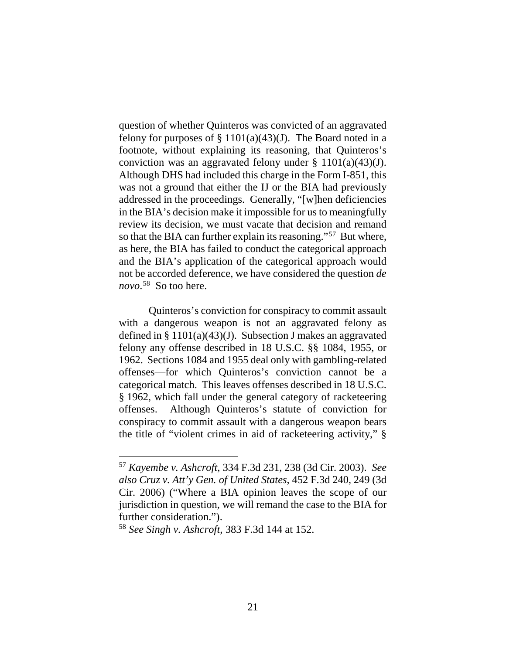question of whether Quinteros was convicted of an aggravated felony for purposes of  $\S 1101(a)(43)(J)$ . The Board noted in a footnote, without explaining its reasoning, that Quinteros's conviction was an aggravated felony under §  $1101(a)(43)(J)$ . Although DHS had included this charge in the Form I-851, this was not a ground that either the IJ or the BIA had previously addressed in the proceedings. Generally, "[w]hen deficiencies in the BIA's decision make it impossible for us to meaningfully review its decision, we must vacate that decision and remand so that the BIA can further explain its reasoning."[57](#page-21-0) But where, as here, the BIA has failed to conduct the categorical approach and the BIA's application of the categorical approach would not be accorded deference, we have considered the question *de novo*. [58](#page-21-1) So too here.

Quinteros's conviction for conspiracy to commit assault with a dangerous weapon is not an aggravated felony as defined in § 1101(a)(43)(J). Subsection J makes an aggravated felony any offense described in 18 U.S.C. §§ 1084, 1955, or 1962. Sections 1084 and 1955 deal only with gambling-related offenses—for which Quinteros's conviction cannot be a categorical match. This leaves offenses described in 18 U.S.C. § 1962, which fall under the general category of racketeering offenses. Although Quinteros's statute of conviction for conspiracy to commit assault with a dangerous weapon bears the title of "violent crimes in aid of racketeering activity," §

<span id="page-21-0"></span> <sup>57</sup> *Kayembe v. Ashcroft*, 334 F.3d 231, 238 (3d Cir. 2003). *See also Cruz v. Att'y Gen. of United States*, 452 F.3d 240, 249 (3d Cir. 2006) ("Where a BIA opinion leaves the scope of our jurisdiction in question, we will remand the case to the BIA for further consideration.").

<span id="page-21-1"></span><sup>58</sup> *See Singh v. Ashcroft*, 383 F.3d 144 at 152.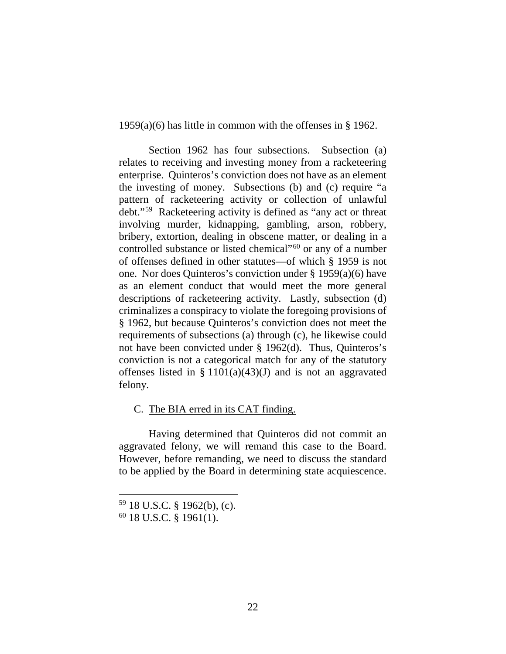1959(a)(6) has little in common with the offenses in § 1962.

Section 1962 has four subsections. Subsection (a) relates to receiving and investing money from a racketeering enterprise. Quinteros's conviction does not have as an element the investing of money. Subsections (b) and (c) require "a pattern of racketeering activity or collection of unlawful debt."[59](#page-22-0) Racketeering activity is defined as "any act or threat involving murder, kidnapping, gambling, arson, robbery, bribery, extortion, dealing in obscene matter, or dealing in a controlled substance or listed chemical"<sup>[60](#page-22-1)</sup> or any of a number of offenses defined in other statutes—of which § 1959 is not one. Nor does Quinteros's conviction under § 1959(a)(6) have as an element conduct that would meet the more general descriptions of racketeering activity. Lastly, subsection (d) criminalizes a conspiracy to violate the foregoing provisions of § 1962, but because Quinteros's conviction does not meet the requirements of subsections (a) through (c), he likewise could not have been convicted under § 1962(d). Thus, Quinteros's conviction is not a categorical match for any of the statutory offenses listed in §  $1101(a)(43)(J)$  and is not an aggravated felony.

## C. The BIA erred in its CAT finding.

Having determined that Quinteros did not commit an aggravated felony, we will remand this case to the Board. However, before remanding, we need to discuss the standard to be applied by the Board in determining state acquiescence.

 <sup>59</sup> 18 U.S.C. § 1962(b), (c).

<span id="page-22-1"></span><span id="page-22-0"></span><sup>60</sup> 18 U.S.C. § 1961(1).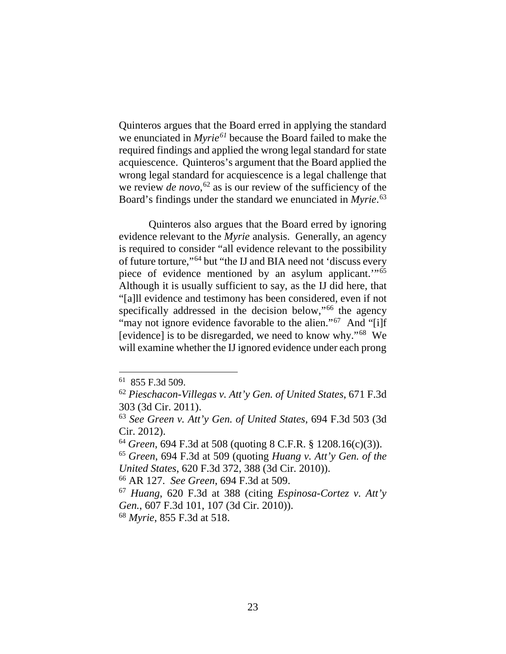Quinteros argues that the Board erred in applying the standard we enunciated in *Myrie[61](#page-23-0)* because the Board failed to make the required findings and applied the wrong legal standard for state acquiescence. Quinteros's argument that the Board applied the wrong legal standard for acquiescence is a legal challenge that we review *de novo*, [62](#page-23-1) as is our review of the sufficiency of the Board's findings under the standard we enunciated in *Myrie*. [63](#page-23-2)

Quinteros also argues that the Board erred by ignoring evidence relevant to the *Myrie* analysis. Generally, an agency is required to consider "all evidence relevant to the possibility of future torture,"[64](#page-23-3) but "the IJ and BIA need not 'discuss every piece of evidence mentioned by an asylum applicant.'"[65](#page-23-4) Although it is usually sufficient to say, as the IJ did here, that "[a]ll evidence and testimony has been considered, even if not specifically addressed in the decision below,"<sup>[66](#page-23-5)</sup> the agency "may not ignore evidence favorable to the alien."<sup>[67](#page-23-6)</sup> And "[i]f [evidence] is to be disregarded, we need to know why."[68](#page-23-7) We will examine whether the IJ ignored evidence under each prong

<span id="page-23-7"></span><sup>68</sup> *Myrie*, 855 F.3d at 518.

 <sup>61 855</sup> F.3d 509.

<span id="page-23-1"></span><span id="page-23-0"></span><sup>62</sup> *Pieschacon-Villegas v. Att'y Gen. of United States*, 671 F.3d 303 (3d Cir. 2011).

<span id="page-23-2"></span><sup>63</sup> *See Green v. Att'y Gen. of United States*, 694 F.3d 503 (3d Cir. 2012).

<span id="page-23-3"></span><sup>64</sup> *Green*, 694 F.3d at 508 (quoting 8 C.F.R. § 1208.16(c)(3)).

<span id="page-23-4"></span><sup>65</sup> *Green*, 694 F.3d at 509 (quoting *Huang v. Att'y Gen. of the United States*, 620 F.3d 372, 388 (3d Cir. 2010)).

<span id="page-23-5"></span><sup>66</sup> AR 127. *See Green*, 694 F.3d at 509.

<span id="page-23-6"></span><sup>67</sup> *Huang*, 620 F.3d at 388 (citing *Espinosa-Cortez v. Att'y Gen.*, 607 F.3d 101, 107 (3d Cir. 2010)).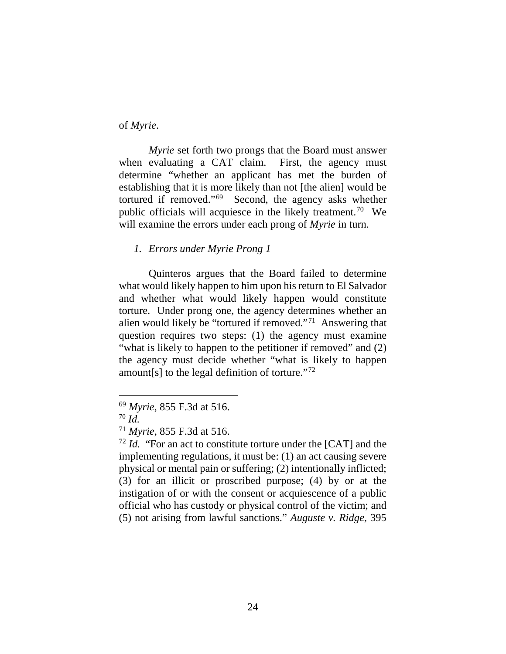of *Myrie*.

*Myrie* set forth two prongs that the Board must answer when evaluating a CAT claim. First, the agency must determine "whether an applicant has met the burden of establishing that it is more likely than not [the alien] would be tortured if removed."[69](#page-24-0) Second, the agency asks whether public officials will acquiesce in the likely treatment.[70](#page-24-1) We will examine the errors under each prong of *Myrie* in turn.

## *1. Errors under Myrie Prong 1*

Quinteros argues that the Board failed to determine what would likely happen to him upon his return to El Salvador and whether what would likely happen would constitute torture. Under prong one, the agency determines whether an alien would likely be "tortured if removed."[71](#page-24-2) Answering that question requires two steps: (1) the agency must examine "what is likely to happen to the petitioner if removed" and (2) the agency must decide whether "what is likely to happen amount[s] to the legal definition of torture. $172$ 

<span id="page-24-0"></span> <sup>69</sup> *Myrie*, 855 F.3d at 516.

<span id="page-24-1"></span><sup>70</sup> *Id.*

<span id="page-24-2"></span><sup>71</sup> *Myrie*, 855 F.3d at 516.

<span id="page-24-3"></span><sup>72</sup> *Id.* "For an act to constitute torture under the [CAT] and the implementing regulations, it must be: (1) an act causing severe physical or mental pain or suffering; (2) intentionally inflicted; (3) for an illicit or proscribed purpose; (4) by or at the instigation of or with the consent or acquiescence of a public official who has custody or physical control of the victim; and (5) not arising from lawful sanctions." *Auguste v. Ridge*, 395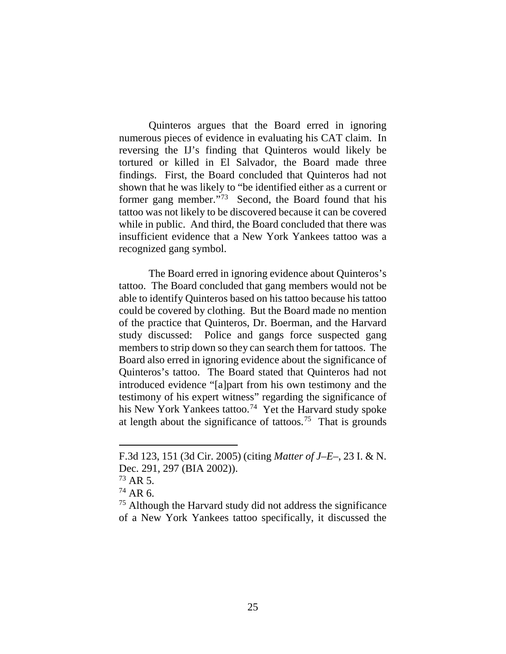Quinteros argues that the Board erred in ignoring numerous pieces of evidence in evaluating his CAT claim. In reversing the IJ's finding that Quinteros would likely be tortured or killed in El Salvador, the Board made three findings. First, the Board concluded that Quinteros had not shown that he was likely to "be identified either as a current or former gang member."[73](#page-25-0) Second, the Board found that his tattoo was not likely to be discovered because it can be covered while in public. And third, the Board concluded that there was insufficient evidence that a New York Yankees tattoo was a recognized gang symbol.

The Board erred in ignoring evidence about Quinteros's tattoo. The Board concluded that gang members would not be able to identify Quinteros based on his tattoo because his tattoo could be covered by clothing. But the Board made no mention of the practice that Quinteros, Dr. Boerman, and the Harvard study discussed: Police and gangs force suspected gang members to strip down so they can search them for tattoos. The Board also erred in ignoring evidence about the significance of Quinteros's tattoo. The Board stated that Quinteros had not introduced evidence "[a]part from his own testimony and the testimony of his expert witness" regarding the significance of his New York Yankees tattoo.<sup>[74](#page-25-1)</sup> Yet the Harvard study spoke at length about the significance of tattoos.<sup>75</sup> That is grounds

F.3d 123, 151 (3d Cir. 2005) (citing *Matter of J–E–*, 23 I. & N. Dec. 291, 297 (BIA 2002)).

<span id="page-25-0"></span> $^{73}$  AR 5.

<span id="page-25-1"></span><sup>74</sup> AR 6.

<span id="page-25-2"></span><sup>75</sup> Although the Harvard study did not address the significance of a New York Yankees tattoo specifically, it discussed the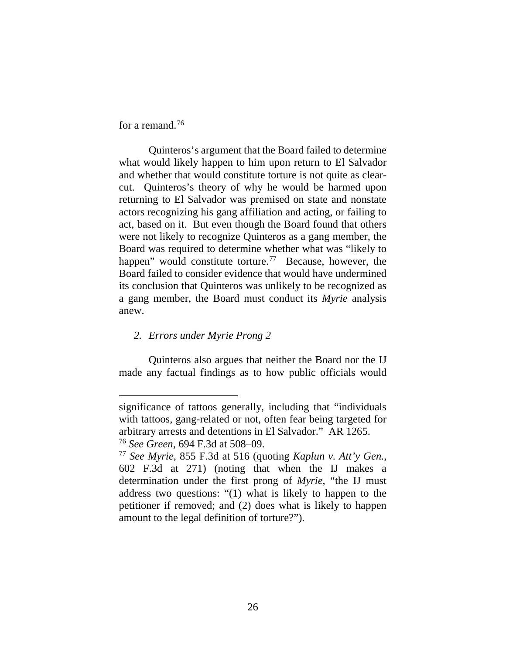for a remand.<sup>76</sup>

 $\overline{a}$ 

Quinteros's argument that the Board failed to determine what would likely happen to him upon return to El Salvador and whether that would constitute torture is not quite as clearcut. Quinteros's theory of why he would be harmed upon returning to El Salvador was premised on state and nonstate actors recognizing his gang affiliation and acting, or failing to act, based on it. But even though the Board found that others were not likely to recognize Quinteros as a gang member, the Board was required to determine whether what was "likely to happen" would constitute torture.<sup>77</sup> Because, however, the Board failed to consider evidence that would have undermined its conclusion that Quinteros was unlikely to be recognized as a gang member, the Board must conduct its *Myrie* analysis anew.

## *2. Errors under Myrie Prong 2*

Quinteros also argues that neither the Board nor the IJ made any factual findings as to how public officials would

significance of tattoos generally, including that "individuals with tattoos, gang-related or not, often fear being targeted for arbitrary arrests and detentions in El Salvador." AR 1265. <sup>76</sup> *See Green*, 694 F.3d at 508–09.

<span id="page-26-1"></span><span id="page-26-0"></span><sup>77</sup> *See Myrie*, 855 F.3d at 516 (quoting *Kaplun v. Att'y Gen.*, 602 F.3d at 271) (noting that when the IJ makes a determination under the first prong of *Myrie*, "the IJ must address two questions: "(1) what is likely to happen to the petitioner if removed; and (2) does what is likely to happen amount to the legal definition of torture?").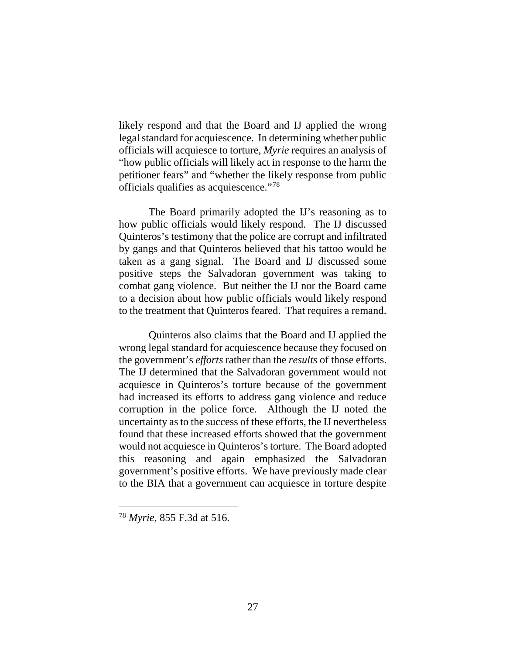likely respond and that the Board and IJ applied the wrong legal standard for acquiescence. In determining whether public officials will acquiesce to torture, *Myrie* requires an analysis of "how public officials will likely act in response to the harm the petitioner fears" and "whether the likely response from public officials qualifies as acquiescence."[78](#page-27-0) 

The Board primarily adopted the IJ's reasoning as to how public officials would likely respond. The IJ discussed Quinteros's testimony that the police are corrupt and infiltrated by gangs and that Quinteros believed that his tattoo would be taken as a gang signal. The Board and IJ discussed some positive steps the Salvadoran government was taking to combat gang violence. But neither the IJ nor the Board came to a decision about how public officials would likely respond to the treatment that Quinteros feared. That requires a remand.

Quinteros also claims that the Board and IJ applied the wrong legal standard for acquiescence because they focused on the government's *efforts* rather than the *results* of those efforts. The IJ determined that the Salvadoran government would not acquiesce in Quinteros's torture because of the government had increased its efforts to address gang violence and reduce corruption in the police force. Although the IJ noted the uncertainty as to the success of these efforts, the IJ nevertheless found that these increased efforts showed that the government would not acquiesce in Quinteros's torture. The Board adopted this reasoning and again emphasized the Salvadoran government's positive efforts. We have previously made clear to the BIA that a government can acquiesce in torture despite

<span id="page-27-0"></span> <sup>78</sup> *Myrie*, 855 F.3d at 516*.*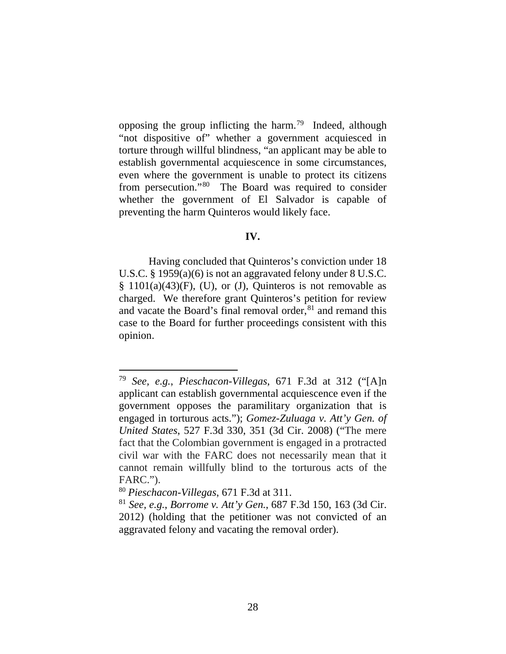opposing the group inflicting the harm.<sup>79</sup> Indeed, although "not dispositive of" whether a government acquiesced in torture through willful blindness, "an applicant may be able to establish governmental acquiescence in some circumstances, even where the government is unable to protect its citizens from persecution."[80](#page-28-1) The Board was required to consider whether the government of El Salvador is capable of preventing the harm Quinteros would likely face.

## **IV.**

Having concluded that Quinteros's conviction under 18 U.S.C. § 1959(a)(6) is not an aggravated felony under 8 U.S.C.  $§$  1101(a)(43)(F), (U), or (J), Quinteros is not removable as charged. We therefore grant Quinteros's petition for review and vacate the Board's final removal order, [81](#page-28-2) and remand this case to the Board for further proceedings consistent with this opinion.

<span id="page-28-0"></span> <sup>79</sup> *See, e.g.*, *Pieschacon-Villegas*, 671 F.3d at 312 ("[A]n applicant can establish governmental acquiescence even if the government opposes the paramilitary organization that is engaged in torturous acts."); *Gomez-Zuluaga v. Att'y Gen. of United States*, 527 F.3d 330, 351 (3d Cir. 2008) ("The mere fact that the Colombian government is engaged in a protracted civil war with the FARC does not necessarily mean that it cannot remain willfully blind to the torturous acts of the FARC.").

<span id="page-28-1"></span><sup>80</sup> *Pieschacon-Villegas*, 671 F.3d at 311.

<span id="page-28-2"></span><sup>81</sup> *See, e.g.*, *Borrome v. Att'y Gen.*, 687 F.3d 150, 163 (3d Cir. 2012) (holding that the petitioner was not convicted of an aggravated felony and vacating the removal order).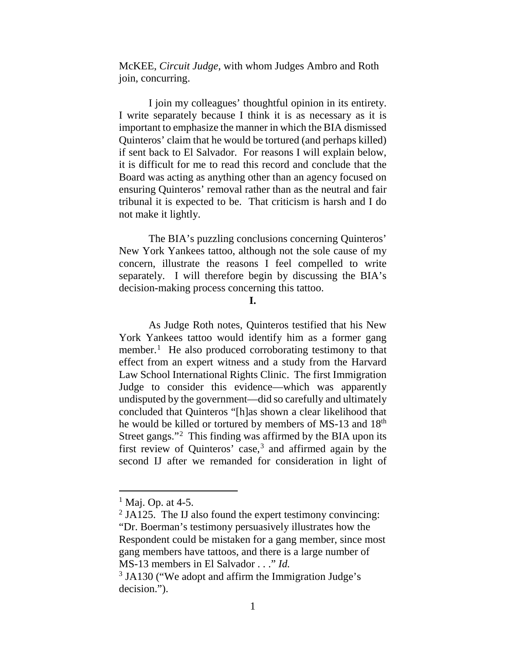McKEE, *Circuit Judge*, with whom Judges Ambro and Roth join, concurring.

I join my colleagues' thoughtful opinion in its entirety. I write separately because I think it is as necessary as it is important to emphasize the manner in which the BIA dismissed Quinteros' claim that he would be tortured (and perhaps killed) if sent back to El Salvador. For reasons I will explain below, it is difficult for me to read this record and conclude that the Board was acting as anything other than an agency focused on ensuring Quinteros' removal rather than as the neutral and fair tribunal it is expected to be. That criticism is harsh and I do not make it lightly.

The BIA's puzzling conclusions concerning Quinteros' New York Yankees tattoo, although not the sole cause of my concern, illustrate the reasons I feel compelled to write separately. I will therefore begin by discussing the BIA's decision-making process concerning this tattoo.

#### **I.**

As Judge Roth notes, Quinteros testified that his New York Yankees tattoo would identify him as a former gang member.<sup>[1](#page-29-0)</sup> He also produced corroborating testimony to that effect from an expert witness and a study from the Harvard Law School International Rights Clinic. The first Immigration Judge to consider this evidence—which was apparently undisputed by the government—did so carefully and ultimately concluded that Quinteros "[h]as shown a clear likelihood that he would be killed or tortured by members of MS-13 and 18<sup>th</sup> Street gangs."<sup>[2](#page-29-1)</sup> This finding was affirmed by the BIA upon its first review of Quinteros' case, $3$  and affirmed again by the second IJ after we remanded for consideration in light of

 $<sup>1</sup>$  Maj. Op. at 4-5.</sup>

<span id="page-29-1"></span><span id="page-29-0"></span> $2$  JA125. The IJ also found the expert testimony convincing: "Dr. Boerman's testimony persuasively illustrates how the Respondent could be mistaken for a gang member, since most gang members have tattoos, and there is a large number of MS-13 members in El Salvador . . ." *Id.*

<span id="page-29-2"></span><sup>&</sup>lt;sup>3</sup> JA130 ("We adopt and affirm the Immigration Judge's decision.").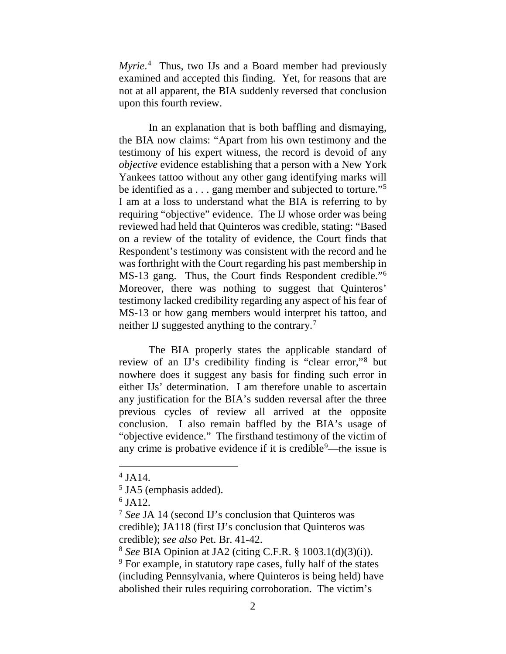*Myrie*. [4](#page-30-0) Thus, two IJs and a Board member had previously examined and accepted this finding. Yet, for reasons that are not at all apparent, the BIA suddenly reversed that conclusion upon this fourth review.

In an explanation that is both baffling and dismaying, the BIA now claims: "Apart from his own testimony and the testimony of his expert witness, the record is devoid of any *objective* evidence establishing that a person with a New York Yankees tattoo without any other gang identifying marks will be identified as a . . . gang member and subjected to torture."[5](#page-30-1) I am at a loss to understand what the BIA is referring to by requiring "objective" evidence. The IJ whose order was being reviewed had held that Quinteros was credible, stating: "Based on a review of the totality of evidence, the Court finds that Respondent's testimony was consistent with the record and he was forthright with the Court regarding his past membership in MS-13 gang. Thus, the Court finds Respondent credible."[6](#page-30-2) Moreover, there was nothing to suggest that Quinteros' testimony lacked credibility regarding any aspect of his fear of MS-13 or how gang members would interpret his tattoo, and neither IJ suggested anything to the contrary. [7](#page-30-3)

The BIA properly states the applicable standard of review of an IJ's credibility finding is "clear error,"[8](#page-30-4) but nowhere does it suggest any basis for finding such error in either IJs' determination. I am therefore unable to ascertain any justification for the BIA's sudden reversal after the three previous cycles of review all arrived at the opposite conclusion. I also remain baffled by the BIA's usage of "objective evidence." The firsthand testimony of the victim of any crime is probative evidence if it is credible<sup>[9](#page-30-5)</sup>—the issue is

<span id="page-30-0"></span> $4$  JA14.

<span id="page-30-1"></span><sup>&</sup>lt;sup>5</sup> JA5 (emphasis added).

<span id="page-30-2"></span> $6$  JA12.

<span id="page-30-3"></span><sup>7</sup> *See* JA 14 (second IJ's conclusion that Quinteros was credible); JA118 (first IJ's conclusion that Quinteros was credible); *see also* Pet. Br. 41-42.

<span id="page-30-4"></span><sup>8</sup> *See* BIA Opinion at JA2 (citing C.F.R. § 1003.1(d)(3)(i)).

<span id="page-30-5"></span><sup>9</sup> For example, in statutory rape cases, fully half of the states (including Pennsylvania, where Quinteros is being held) have abolished their rules requiring corroboration. The victim's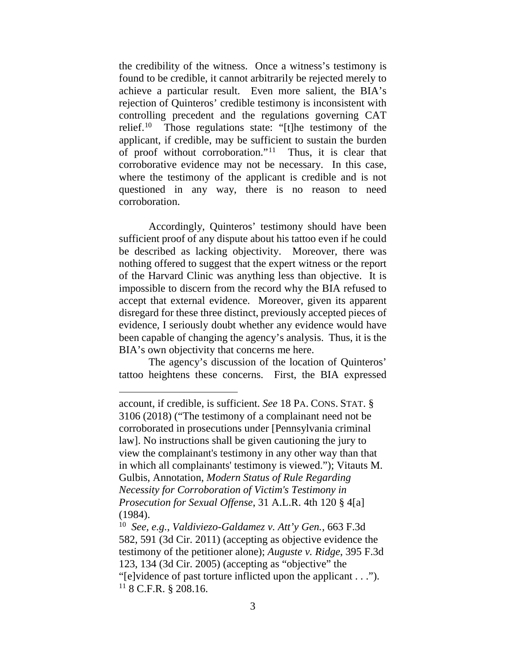the credibility of the witness. Once a witness's testimony is found to be credible, it cannot arbitrarily be rejected merely to achieve a particular result. Even more salient, the BIA's rejection of Quinteros' credible testimony is inconsistent with controlling precedent and the regulations governing CAT relief.<sup>[10](#page-31-0)</sup> Those regulations state: "[t]he testimony of the applicant, if credible, may be sufficient to sustain the burden of proof without corroboration."[11](#page-31-1) Thus, it is clear that corroborative evidence may not be necessary. In this case, where the testimony of the applicant is credible and is not questioned in any way, there is no reason to need corroboration.

Accordingly, Quinteros' testimony should have been sufficient proof of any dispute about his tattoo even if he could be described as lacking objectivity. Moreover, there was nothing offered to suggest that the expert witness or the report of the Harvard Clinic was anything less than objective. It is impossible to discern from the record why the BIA refused to accept that external evidence. Moreover, given its apparent disregard for these three distinct, previously accepted pieces of evidence, I seriously doubt whether any evidence would have been capable of changing the agency's analysis. Thus, it is the BIA's own objectivity that concerns me here.

The agency's discussion of the location of Quinteros' tattoo heightens these concerns. First, the BIA expressed

account, if credible, is sufficient. *See* 18 PA. CONS. STAT. § 3106 (2018) ("The testimony of a complainant need not be corroborated in prosecutions under [Pennsylvania criminal law]. No instructions shall be given cautioning the jury to view the complainant's testimony in any other way than that in which all complainants' testimony is viewed."); Vitauts M. Gulbis, Annotation, *Modern Status of Rule Regarding Necessity for Corroboration of Victim's Testimony in Prosecution for Sexual Offense*, 31 A.L.R. 4th 120 § 4[a] (1984).

<span id="page-31-1"></span><span id="page-31-0"></span><sup>10</sup> *See, e.g.*, *Valdiviezo-Galdamez v. Att'y Gen.*, 663 F.3d 582, 591 (3d Cir. 2011) (accepting as objective evidence the testimony of the petitioner alone); *Auguste v. Ridge*, 395 F.3d 123, 134 (3d Cir. 2005) (accepting as "objective" the "[e]vidence of past torture inflicted upon the applicant . . .").  $11$  8 C.F.R. § 208.16.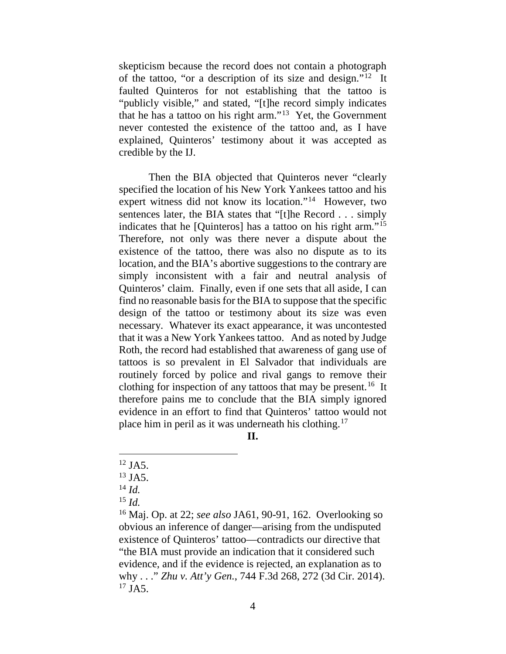skepticism because the record does not contain a photograph of the tattoo, "or a description of its size and design."[12](#page-32-0) It faulted Quinteros for not establishing that the tattoo is "publicly visible," and stated, "[t]he record simply indicates that he has a tattoo on his right arm."[13](#page-32-1) Yet, the Government never contested the existence of the tattoo and, as I have explained, Quinteros' testimony about it was accepted as credible by the IJ.

Then the BIA objected that Quinteros never "clearly specified the location of his New York Yankees tattoo and his expert witness did not know its location."<sup>14</sup> However, two sentences later, the BIA states that "[t]he Record . . . simply indicates that he [Quinteros] has a tattoo on his right arm."[15](#page-32-3) Therefore, not only was there never a dispute about the existence of the tattoo, there was also no dispute as to its location, and the BIA's abortive suggestions to the contrary are simply inconsistent with a fair and neutral analysis of Quinteros' claim. Finally, even if one sets that all aside, I can find no reasonable basis for the BIA to suppose that the specific design of the tattoo or testimony about its size was even necessary. Whatever its exact appearance, it was uncontested that it was a New York Yankees tattoo. And as noted by Judge Roth, the record had established that awareness of gang use of tattoos is so prevalent in El Salvador that individuals are routinely forced by police and rival gangs to remove their clothing for inspection of any tattoos that may be present.<sup>[16](#page-32-4)</sup> It therefore pains me to conclude that the BIA simply ignored evidence in an effort to find that Quinteros' tattoo would not place him in peril as it was underneath his clothing.[17](#page-32-5)

**II.**

<span id="page-32-0"></span> $12$  JA5.

<span id="page-32-1"></span><sup>13</sup> JA5.

<span id="page-32-2"></span><sup>14</sup> *Id.*

<sup>15</sup> *Id.*

<span id="page-32-5"></span><span id="page-32-4"></span><span id="page-32-3"></span><sup>16</sup> Maj. Op. at 22; *see also* JA61, 90-91, 162. Overlooking so obvious an inference of danger—arising from the undisputed existence of Quinteros' tattoo—contradicts our directive that "the BIA must provide an indication that it considered such evidence, and if the evidence is rejected, an explanation as to why . . ." *Zhu v. Att'y Gen.*, 744 F.3d 268, 272 (3d Cir. 2014).  $17$  JA5.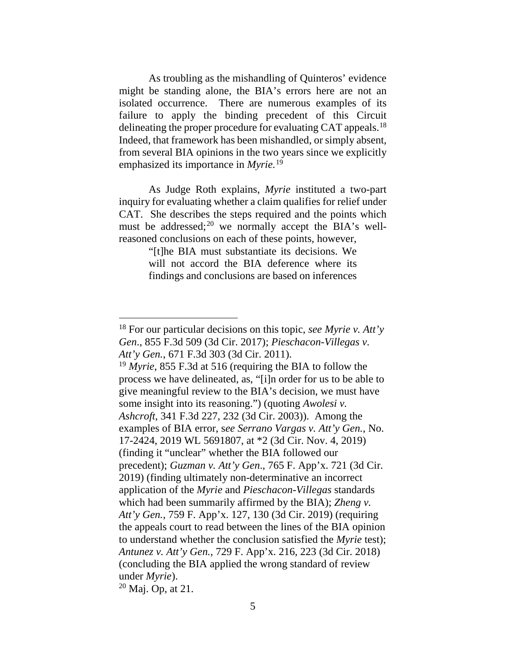As troubling as the mishandling of Quinteros' evidence might be standing alone, the BIA's errors here are not an isolated occurrence. There are numerous examples of its failure to apply the binding precedent of this Circuit delineating the proper procedure for evaluating CAT appeals.<sup>[18](#page-33-0)</sup> Indeed, that framework has been mishandled, or simply absent, from several BIA opinions in the two years since we explicitly emphasized its importance in *Myrie.* [19](#page-33-1)

As Judge Roth explains, *Myrie* instituted a two-part inquiry for evaluating whether a claim qualifies for relief under CAT. She describes the steps required and the points which must be addressed;<sup>[20](#page-33-2)</sup> we normally accept the BIA's wellreasoned conclusions on each of these points, however,

> "[t]he BIA must substantiate its decisions. We will not accord the BIA deference where its findings and conclusions are based on inferences

<span id="page-33-0"></span> <sup>18</sup> For our particular decisions on this topic, *see Myrie v. Att'y Gen*., 855 F.3d 509 (3d Cir. 2017); *Pieschacon-Villegas v. Att'y Gen.*, 671 F.3d 303 (3d Cir. 2011).

<span id="page-33-1"></span><sup>19</sup> *Myrie*, 855 F.3d at 516 (requiring the BIA to follow the process we have delineated, as, "[i]n order for us to be able to give meaningful review to the BIA's decision, we must have some insight into its reasoning.") (quoting *Awolesi v. Ashcroft*, 341 F.3d 227, 232 (3d Cir. 2003)). Among the examples of BIA error, s*ee Serrano Vargas v. Att'y Gen.*, No. 17-2424, 2019 WL 5691807, at \*2 (3d Cir. Nov. 4, 2019) (finding it "unclear" whether the BIA followed our precedent); *Guzman v. Att'y Gen*., 765 F. App'x. 721 (3d Cir. 2019) (finding ultimately non-determinative an incorrect application of the *Myrie* and *Pieschacon-Villegas* standards which had been summarily affirmed by the BIA); *Zheng v. Att'y Gen.*, 759 F. App'x. 127, 130 (3d Cir. 2019) (requiring the appeals court to read between the lines of the BIA opinion to understand whether the conclusion satisfied the *Myrie* test); *Antunez v. Att'y Gen.*, 729 F. App'x. 216, 223 (3d Cir. 2018) (concluding the BIA applied the wrong standard of review under *Myrie*).

<span id="page-33-2"></span><sup>20</sup> Maj. Op, at 21.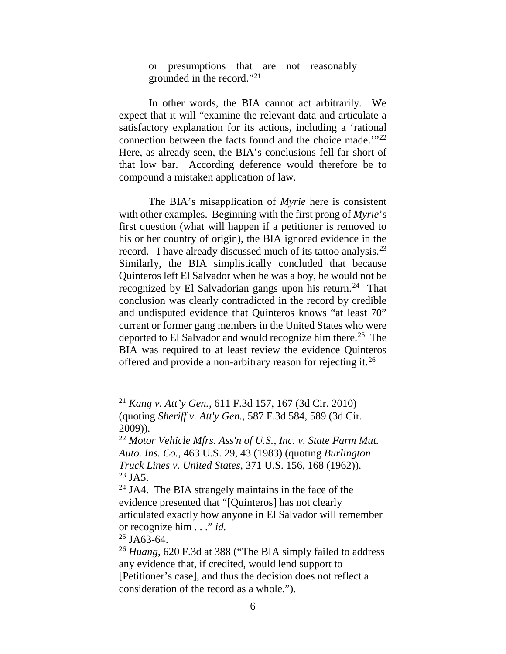or presumptions that are not reasonably grounded in the record."[21](#page-34-0)

In other words, the BIA cannot act arbitrarily. We expect that it will "examine the relevant data and articulate a satisfactory explanation for its actions, including a 'rational connection between the facts found and the choice made.'"[22](#page-34-1) Here, as already seen, the BIA's conclusions fell far short of that low bar. According deference would therefore be to compound a mistaken application of law.

The BIA's misapplication of *Myrie* here is consistent with other examples. Beginning with the first prong of *Myrie*'s first question (what will happen if a petitioner is removed to his or her country of origin), the BIA ignored evidence in the record. I have already discussed much of its tattoo analysis.<sup>[23](#page-34-2)</sup> Similarly, the BIA simplistically concluded that because Quinteros left El Salvador when he was a boy, he would not be recognized by El Salvadorian gangs upon his return.<sup>[24](#page-34-3)</sup> That conclusion was clearly contradicted in the record by credible and undisputed evidence that Quinteros knows "at least 70" current or former gang members in the United States who were deported to El Salvador and would recognize him there.<sup>25</sup> The BIA was required to at least review the evidence Quinteros offered and provide a non-arbitrary reason for rejecting it.<sup>26</sup>

<span id="page-34-4"></span> $25$  JA63-64.

<span id="page-34-0"></span> <sup>21</sup> *Kang v. Att'y Gen.*, 611 F.3d 157, 167 (3d Cir. 2010) (quoting *Sheriff v. Att'y Gen.*, 587 F.3d 584, 589 (3d Cir. 2009)).

<span id="page-34-1"></span><sup>22</sup> *Motor Vehicle Mfrs. Ass'n of U.S., Inc. v. State Farm Mut. Auto. Ins. Co.*, 463 U.S. 29, 43 (1983) (quoting *Burlington Truck Lines v. United States*, 371 U.S. 156, 168 (1962)).  $^{23}$  JA5.

<span id="page-34-3"></span><span id="page-34-2"></span> $24$  JA4. The BIA strangely maintains in the face of the evidence presented that "[Quinteros] has not clearly articulated exactly how anyone in El Salvador will remember or recognize him . . ." *id.*

<span id="page-34-5"></span><sup>26</sup> *Huang*, 620 F.3d at 388 ("The BIA simply failed to address any evidence that, if credited, would lend support to [Petitioner's case], and thus the decision does not reflect a consideration of the record as a whole.").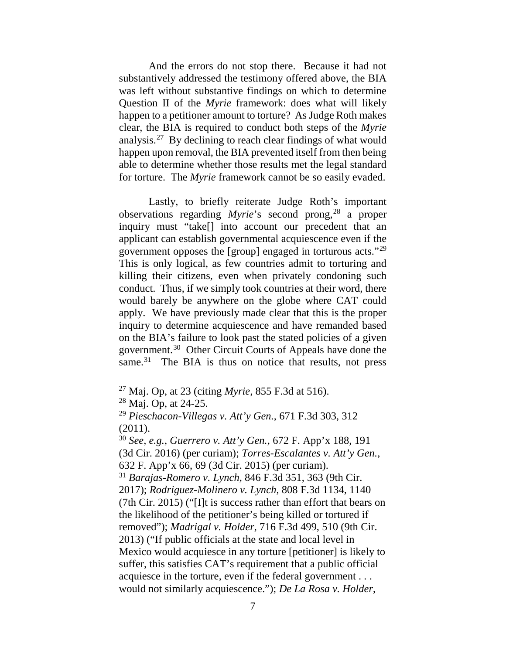And the errors do not stop there. Because it had not substantively addressed the testimony offered above, the BIA was left without substantive findings on which to determine Question II of the *Myrie* framework: does what will likely happen to a petitioner amount to torture? As Judge Roth makes clear, the BIA is required to conduct both steps of the *Myrie*  analysis.[27](#page-35-0) By declining to reach clear findings of what would happen upon removal, the BIA prevented itself from then being able to determine whether those results met the legal standard for torture. The *Myrie* framework cannot be so easily evaded.

Lastly, to briefly reiterate Judge Roth's important observations regarding *Myrie*'s second prong, [28](#page-35-1) a proper inquiry must "take[] into account our precedent that an applicant can establish governmental acquiescence even if the government opposes the [group] engaged in torturous acts."[29](#page-35-2) This is only logical, as few countries admit to torturing and killing their citizens, even when privately condoning such conduct. Thus, if we simply took countries at their word, there would barely be anywhere on the globe where CAT could apply. We have previously made clear that this is the proper inquiry to determine acquiescence and have remanded based on the BIA's failure to look past the stated policies of a given government.[30](#page-35-3) Other Circuit Courts of Appeals have done the same.<sup>[31](#page-35-4)</sup> The BIA is thus on notice that results, not press

<span id="page-35-4"></span><span id="page-35-3"></span><sup>30</sup> *See, e.g.*, *Guerrero v. Att'y Gen.*, 672 F. App'x 188, 191 (3d Cir. 2016) (per curiam); *Torres-Escalantes v. Att'y Gen.*, 632 F. App'x 66, 69 (3d Cir. 2015) (per curiam). <sup>31</sup> *Barajas-Romero v. Lynch*, 846 F.3d 351, 363 (9th Cir. 2017); *Rodriguez-Molinero v. Lynch*, 808 F.3d 1134, 1140 (7th Cir. 2015) ("[I]t is success rather than effort that bears on the likelihood of the petitioner's being killed or tortured if removed"); *Madrigal v. Holder*, 716 F.3d 499, 510 (9th Cir. 2013) ("If public officials at the state and local level in Mexico would acquiesce in any torture [petitioner] is likely to suffer, this satisfies CAT's requirement that a public official acquiesce in the torture, even if the federal government . . . would not similarly acquiescence."); *De La Rosa v. Holder*,

<span id="page-35-0"></span> <sup>27</sup> Maj. Op, at 23 (citing *Myrie*, 855 F.3d at 516).

<span id="page-35-1"></span><sup>28</sup> Maj. Op, at 24-25.

<span id="page-35-2"></span><sup>29</sup> *Pieschacon-Villegas v. Att'y Gen.*, 671 F.3d 303, 312 (2011).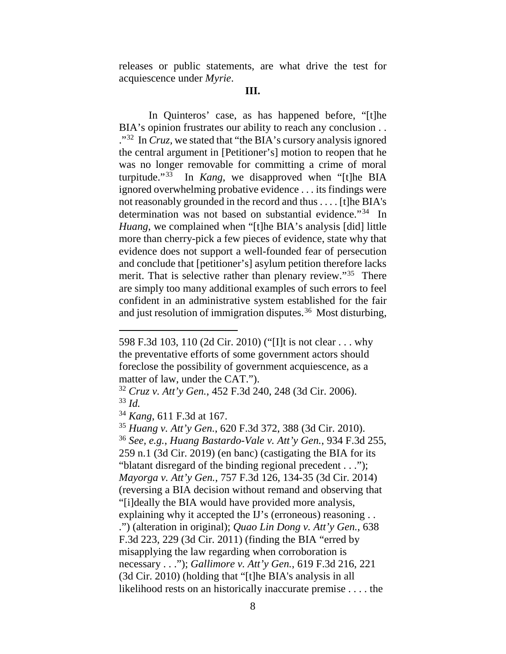releases or public statements, are what drive the test for acquiescence under *Myrie*.

In Quinteros' case, as has happened before, "[t]he BIA's opinion frustrates our ability to reach any conclusion . . .["32](#page-36-0) In *Cruz,* we stated that "the BIA's cursory analysis ignored the central argument in [Petitioner's] motion to reopen that he was no longer removable for committing a crime of moral turpitude."[33](#page-36-1) In *Kang*, we disapproved when "[t]he BIA ignored overwhelming probative evidence . . . its findings were not reasonably grounded in the record and thus . . . . [t]he BIA's determination was not based on substantial evidence."[34](#page-36-2) In *Huang*, we complained when "[t]he BIA's analysis [did] little more than cherry-pick a few pieces of evidence, state why that evidence does not support a well-founded fear of persecution and conclude that [petitioner's] asylum petition therefore lacks merit. That is selective rather than plenary review."<sup>[35](#page-36-3)</sup> There are simply too many additional examples of such errors to feel confident in an administrative system established for the fair and just resolution of immigration disputes.<sup>[36](#page-36-4)</sup> Most disturbing,

<sup>598</sup> F.3d 103, 110 (2d Cir. 2010) ("[I]t is not clear . . . why the preventative efforts of some government actors should foreclose the possibility of government acquiescence, as a matter of law, under the CAT.").

<span id="page-36-1"></span><span id="page-36-0"></span><sup>32</sup> *Cruz v. Att'y Gen.*, 452 F.3d 240, 248 (3d Cir. 2006). <sup>33</sup> *Id.*

<span id="page-36-2"></span><sup>34</sup> *Kang*, 611 F.3d at 167.

<span id="page-36-4"></span><span id="page-36-3"></span><sup>35</sup> *Huang v. Att'y Gen.*, 620 F.3d 372, 388 (3d Cir. 2010). <sup>36</sup> *See, e.g.*, *Huang Bastardo-Vale v. Att'y Gen.*, 934 F.3d 255, 259 n.1 (3d Cir. 2019) (en banc) (castigating the BIA for its "blatant disregard of the binding regional precedent . . ."); *Mayorga v. Att'y Gen.*, 757 F.3d 126, 134-35 (3d Cir. 2014) (reversing a BIA decision without remand and observing that "[i]deally the BIA would have provided more analysis, explaining why it accepted the IJ's (erroneous) reasoning . . .") (alteration in original); *Quao Lin Dong v. Att'y Gen.*, 638 F.3d 223, 229 (3d Cir. 2011) (finding the BIA "erred by misapplying the law regarding when corroboration is necessary . . ."); *Gallimore v. Att'y Gen.*, 619 F.3d 216, 221 (3d Cir. 2010) (holding that "[t]he BIA's analysis in all likelihood rests on an historically inaccurate premise . . . . the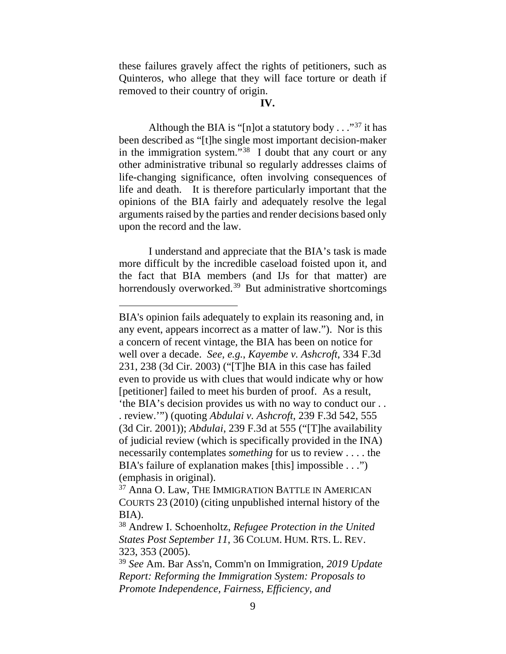these failures gravely affect the rights of petitioners, such as Quinteros, who allege that they will face torture or death if removed to their country of origin.

#### **IV.**

Although the BIA is "[n]ot a statutory body  $\ldots$ "<sup>[37](#page-37-0)</sup> it has been described as "[t]he single most important decision-maker in the immigration system."<sup>38</sup> I doubt that any court or any other administrative tribunal so regularly addresses claims of life-changing significance, often involving consequences of life and death. It is therefore particularly important that the opinions of the BIA fairly and adequately resolve the legal arguments raised by the parties and render decisions based only upon the record and the law.

I understand and appreciate that the BIA's task is made more difficult by the incredible caseload foisted upon it, and the fact that BIA members (and IJs for that matter) are horrendously overworked.<sup>[39](#page-37-2)</sup> But administrative shortcomings

BIA's opinion fails adequately to explain its reasoning and, in any event, appears incorrect as a matter of law."). Nor is this a concern of recent vintage, the BIA has been on notice for well over a decade. *See, e.g.*, *Kayembe v. Ashcroft*, 334 F.3d 231, 238 (3d Cir. 2003) ("[T]he BIA in this case has failed even to provide us with clues that would indicate why or how [petitioner] failed to meet his burden of proof. As a result, 'the BIA's decision provides us with no way to conduct our . . . review.'") (quoting *Abdulai v. Ashcroft*, 239 F.3d 542, 555 (3d Cir. 2001)); *Abdulai*, 239 F.3d at 555 ("[T]he availability of judicial review (which is specifically provided in the INA) necessarily contemplates *something* for us to review . . . . the BIA's failure of explanation makes [this] impossible . . .") (emphasis in original).

<span id="page-37-0"></span><sup>&</sup>lt;sup>37</sup> Anna O. Law, THE IMMIGRATION BATTLE IN AMERICAN COURTS 23 (2010) (citing unpublished internal history of the BIA).

<span id="page-37-1"></span><sup>38</sup> Andrew I. Schoenholtz, *Refugee Protection in the United States Post September 11*, 36 COLUM. HUM. RTS. L. REV. 323, 353 (2005).

<span id="page-37-2"></span><sup>39</sup> *See* Am. Bar Ass'n, Comm'n on Immigration, *2019 Update Report: Reforming the Immigration System: Proposals to Promote Independence, Fairness, Efficiency, and*